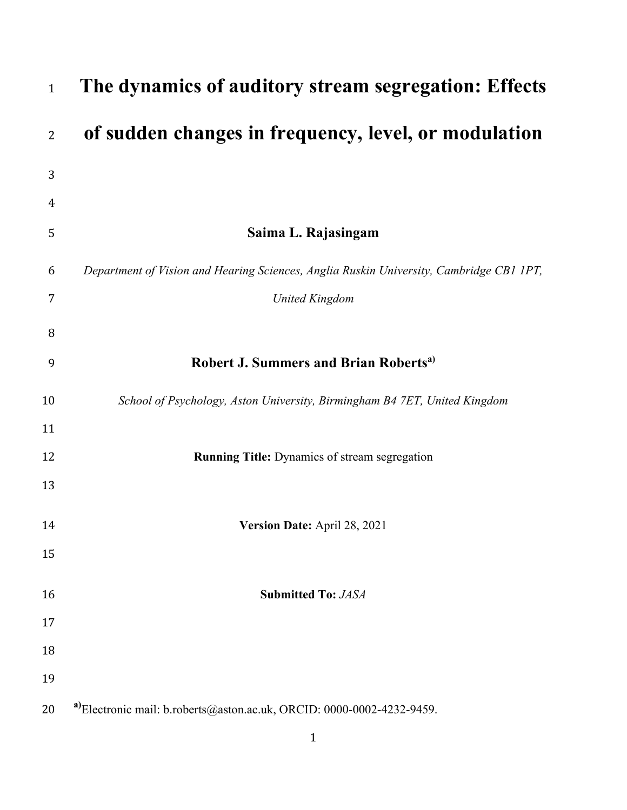| $\mathbf{1}$   | The dynamics of auditory stream segregation: Effects                                    |
|----------------|-----------------------------------------------------------------------------------------|
| $\overline{2}$ | of sudden changes in frequency, level, or modulation                                    |
| 3              |                                                                                         |
| 4              |                                                                                         |
| 5              | Saima L. Rajasingam                                                                     |
| 6              | Department of Vision and Hearing Sciences, Anglia Ruskin University, Cambridge CB1 1PT, |
| 7              | <b>United Kingdom</b>                                                                   |
| 8              |                                                                                         |
| 9              | <b>Robert J. Summers and Brian Roberts<sup>a)</sup></b>                                 |
| 10             | School of Psychology, Aston University, Birmingham B4 7ET, United Kingdom               |
| 11             |                                                                                         |
| 12             | <b>Running Title:</b> Dynamics of stream segregation                                    |
| 13             |                                                                                         |
| 14             | Version Date: April 28, 2021                                                            |
| 15             |                                                                                         |
| 16             | <b>Submitted To: JASA</b>                                                               |
| 17             |                                                                                         |
| 18             |                                                                                         |
| 19             |                                                                                         |
| 20             | a)Electronic mail: b.roberts@aston.ac.uk, ORCID: 0000-0002-4232-9459.                   |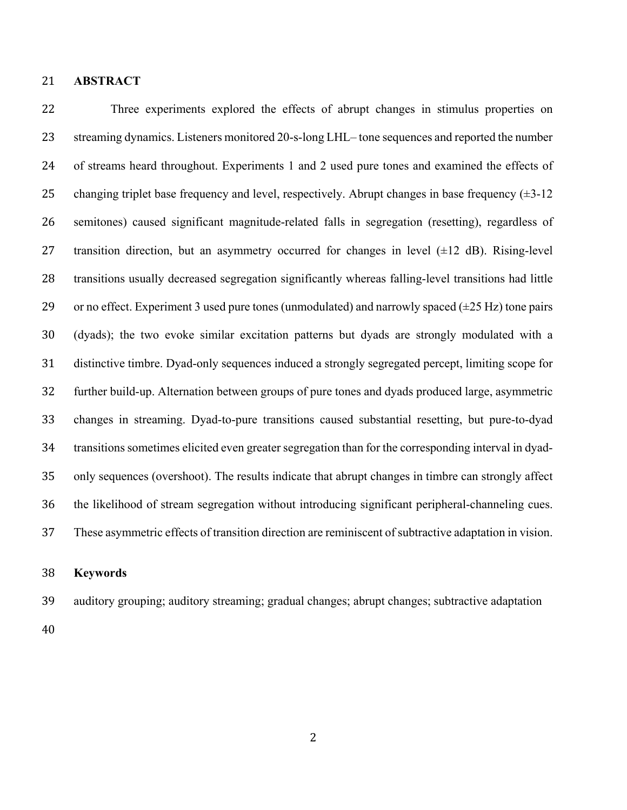# **ABSTRACT**

 Three experiments explored the effects of abrupt changes in stimulus properties on streaming dynamics. Listeners monitored 20-s-long LHL– tone sequences and reported the number of streams heard throughout. Experiments 1 and 2 used pure tones and examined the effects of 25 changing triplet base frequency and level, respectively. Abrupt changes in base frequency  $(\pm 3$ -12 semitones) caused significant magnitude-related falls in segregation (resetting), regardless of 27 transition direction, but an asymmetry occurred for changes in level  $(\pm 12 \text{ dB})$ . Rising-level transitions usually decreased segregation significantly whereas falling-level transitions had little 29 or no effect. Experiment 3 used pure tones (unmodulated) and narrowly spaced  $(\pm 25 \text{ Hz})$  tone pairs (dyads); the two evoke similar excitation patterns but dyads are strongly modulated with a distinctive timbre. Dyad-only sequences induced a strongly segregated percept, limiting scope for further build-up. Alternation between groups of pure tones and dyads produced large, asymmetric changes in streaming. Dyad-to-pure transitions caused substantial resetting, but pure-to-dyad transitions sometimes elicited even greater segregation than for the corresponding interval in dyad- only sequences (overshoot). The results indicate that abrupt changes in timbre can strongly affect the likelihood of stream segregation without introducing significant peripheral-channeling cues. These asymmetric effects of transition direction are reminiscent of subtractive adaptation in vision.

#### **Keywords**

auditory grouping; auditory streaming; gradual changes; abrupt changes; subtractive adaptation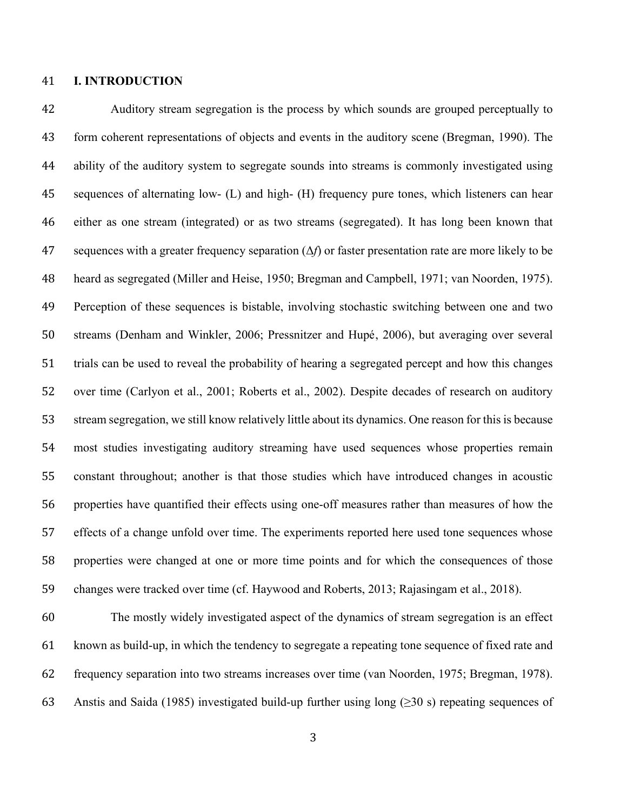## **I. INTRODUCTION**

 Auditory stream segregation is the process by which sounds are grouped perceptually to form coherent representations of objects and events in the auditory scene (Bregman, 1990). The ability of the auditory system to segregate sounds into streams is commonly investigated using sequences of alternating low- (L) and high- (H) frequency pure tones, which listeners can hear either as one stream (integrated) or as two streams (segregated). It has long been known that sequences with a greater frequency separation (Δ*f*) or faster presentation rate are more likely to be heard as segregated (Miller and Heise, 1950; Bregman and Campbell, 1971; van Noorden, 1975). Perception of these sequences is bistable, involving stochastic switching between one and two streams (Denham and Winkler, 2006; Pressnitzer and Hupé, 2006), but averaging over several trials can be used to reveal the probability of hearing a segregated percept and how this changes over time (Carlyon et al., 2001; Roberts et al., 2002). Despite decades of research on auditory stream segregation, we still know relatively little about its dynamics. One reason for this is because most studies investigating auditory streaming have used sequences whose properties remain constant throughout; another is that those studies which have introduced changes in acoustic properties have quantified their effects using one-off measures rather than measures of how the effects of a change unfold over time. The experiments reported here used tone sequences whose properties were changed at one or more time points and for which the consequences of those changes were tracked over time (cf. Haywood and Roberts, 2013; Rajasingam et al., 2018).

 The mostly widely investigated aspect of the dynamics of stream segregation is an effect known as build-up, in which the tendency to segregate a repeating tone sequence of fixed rate and frequency separation into two streams increases over time (van Noorden, 1975; Bregman, 1978). Anstis and Saida (1985) investigated build-up further using long (≥30 s) repeating sequences of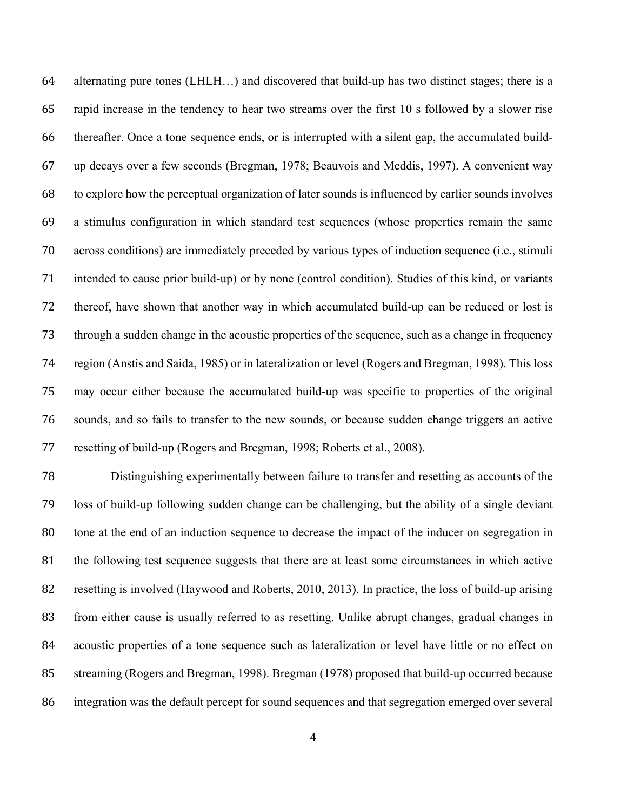alternating pure tones (LHLH…) and discovered that build-up has two distinct stages; there is a rapid increase in the tendency to hear two streams over the first 10 s followed by a slower rise thereafter. Once a tone sequence ends, or is interrupted with a silent gap, the accumulated build- up decays over a few seconds (Bregman, 1978; Beauvois and Meddis, 1997). A convenient way to explore how the perceptual organization of later sounds is influenced by earlier sounds involves a stimulus configuration in which standard test sequences (whose properties remain the same across conditions) are immediately preceded by various types of induction sequence (i.e., stimuli intended to cause prior build-up) or by none (control condition). Studies of this kind, or variants thereof, have shown that another way in which accumulated build-up can be reduced or lost is through a sudden change in the acoustic properties of the sequence, such as a change in frequency region (Anstis and Saida, 1985) or in lateralization or level (Rogers and Bregman, 1998). This loss may occur either because the accumulated build-up was specific to properties of the original sounds, and so fails to transfer to the new sounds, or because sudden change triggers an active resetting of build-up (Rogers and Bregman, 1998; Roberts et al., 2008).

 Distinguishing experimentally between failure to transfer and resetting as accounts of the loss of build-up following sudden change can be challenging, but the ability of a single deviant tone at the end of an induction sequence to decrease the impact of the inducer on segregation in the following test sequence suggests that there are at least some circumstances in which active resetting is involved (Haywood and Roberts, 2010, 2013). In practice, the loss of build-up arising from either cause is usually referred to as resetting. Unlike abrupt changes, gradual changes in acoustic properties of a tone sequence such as lateralization or level have little or no effect on streaming (Rogers and Bregman, 1998). Bregman (1978) proposed that build-up occurred because integration was the default percept for sound sequences and that segregation emerged over several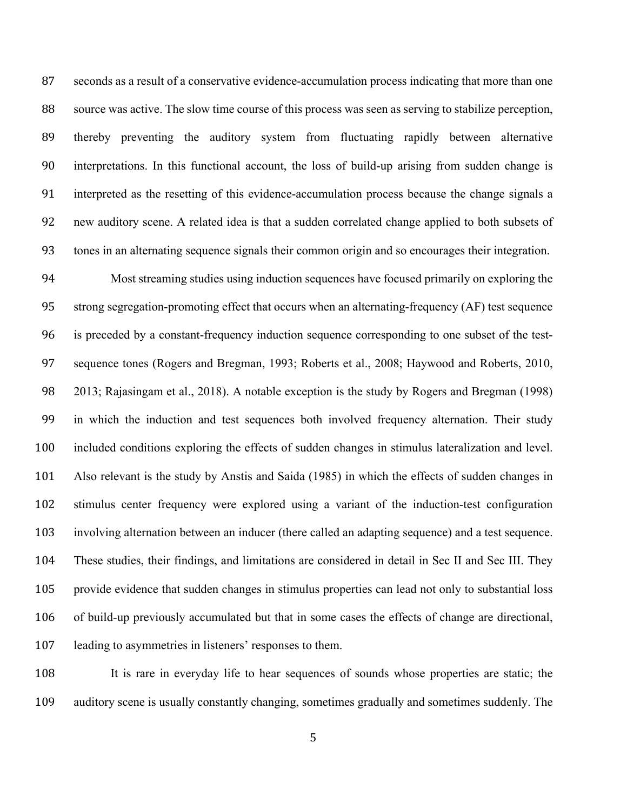seconds as a result of a conservative evidence-accumulation process indicating that more than one source was active. The slow time course of this process was seen as serving to stabilize perception, thereby preventing the auditory system from fluctuating rapidly between alternative interpretations. In this functional account, the loss of build-up arising from sudden change is interpreted as the resetting of this evidence-accumulation process because the change signals a new auditory scene. A related idea is that a sudden correlated change applied to both subsets of tones in an alternating sequence signals their common origin and so encourages their integration.

 Most streaming studies using induction sequences have focused primarily on exploring the strong segregation-promoting effect that occurs when an alternating-frequency (AF) test sequence is preceded by a constant-frequency induction sequence corresponding to one subset of the test- sequence tones (Rogers and Bregman, 1993; Roberts et al., 2008; Haywood and Roberts, 2010, 2013; Rajasingam et al., 2018). A notable exception is the study by Rogers and Bregman (1998) in which the induction and test sequences both involved frequency alternation. Their study included conditions exploring the effects of sudden changes in stimulus lateralization and level. Also relevant is the study by Anstis and Saida (1985) in which the effects of sudden changes in stimulus center frequency were explored using a variant of the induction-test configuration involving alternation between an inducer (there called an adapting sequence) and a test sequence. These studies, their findings, and limitations are considered in detail in Sec II and Sec III. They provide evidence that sudden changes in stimulus properties can lead not only to substantial loss of build-up previously accumulated but that in some cases the effects of change are directional, leading to asymmetries in listeners' responses to them.

 It is rare in everyday life to hear sequences of sounds whose properties are static; the auditory scene is usually constantly changing, sometimes gradually and sometimes suddenly. The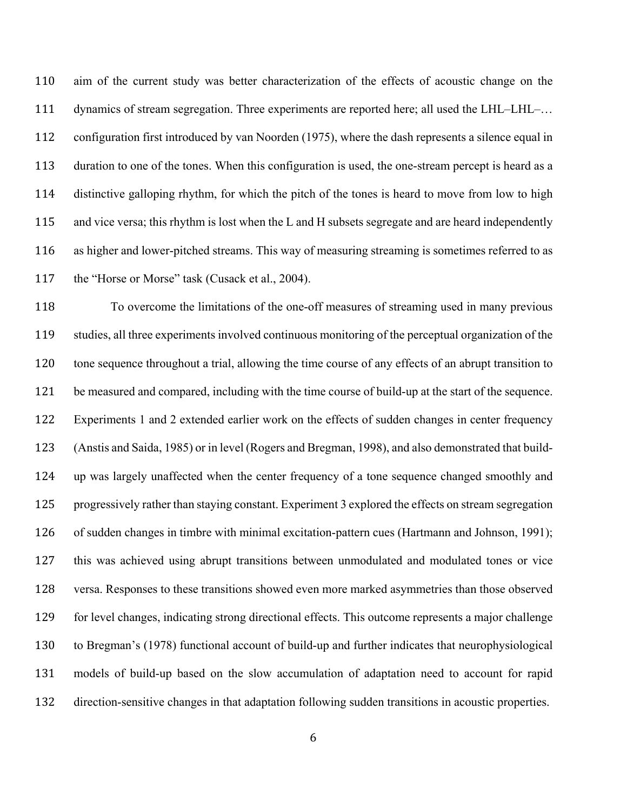aim of the current study was better characterization of the effects of acoustic change on the 111 dynamics of stream segregation. Three experiments are reported here; all used the LHL–LHL–... configuration first introduced by van Noorden (1975), where the dash represents a silence equal in duration to one of the tones. When this configuration is used, the one-stream percept is heard as a distinctive galloping rhythm, for which the pitch of the tones is heard to move from low to high and vice versa; this rhythm is lost when the L and H subsets segregate and are heard independently as higher and lower-pitched streams. This way of measuring streaming is sometimes referred to as 117 the "Horse or Morse" task (Cusack et al., 2004).

 To overcome the limitations of the one-off measures of streaming used in many previous studies, all three experiments involved continuous monitoring of the perceptual organization of the tone sequence throughout a trial, allowing the time course of any effects of an abrupt transition to be measured and compared, including with the time course of build-up at the start of the sequence. Experiments 1 and 2 extended earlier work on the effects of sudden changes in center frequency (Anstis and Saida, 1985) or in level (Rogers and Bregman, 1998), and also demonstrated that build- up was largely unaffected when the center frequency of a tone sequence changed smoothly and progressively rather than staying constant. Experiment 3 explored the effects on stream segregation of sudden changes in timbre with minimal excitation-pattern cues (Hartmann and Johnson, 1991); this was achieved using abrupt transitions between unmodulated and modulated tones or vice versa. Responses to these transitions showed even more marked asymmetries than those observed for level changes, indicating strong directional effects. This outcome represents a major challenge to Bregman's (1978) functional account of build-up and further indicates that neurophysiological models of build-up based on the slow accumulation of adaptation need to account for rapid direction-sensitive changes in that adaptation following sudden transitions in acoustic properties.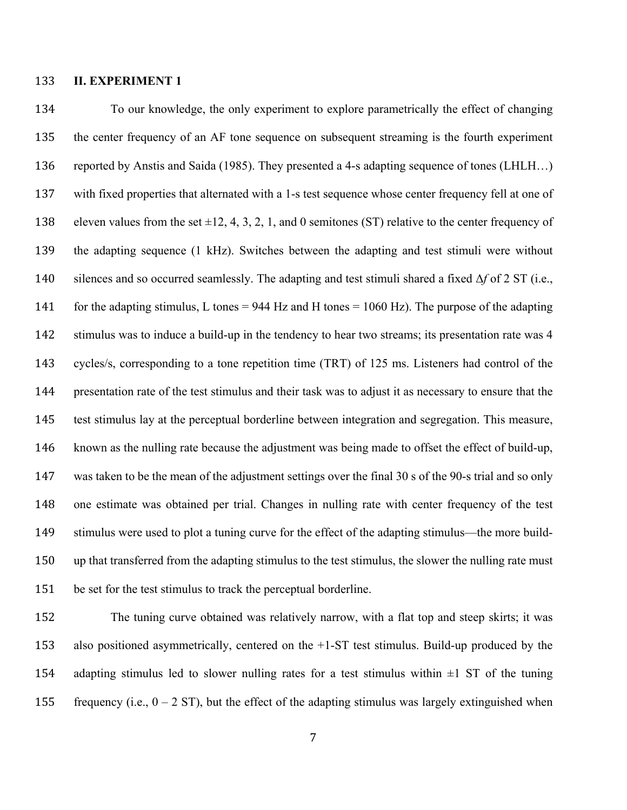# **II. EXPERIMENT 1**

 To our knowledge, the only experiment to explore parametrically the effect of changing the center frequency of an AF tone sequence on subsequent streaming is the fourth experiment reported by Anstis and Saida (1985). They presented a 4-s adapting sequence of tones (LHLH…) with fixed properties that alternated with a 1-s test sequence whose center frequency fell at one of 138 eleven values from the set  $\pm 12, 4, 3, 2, 1$ , and 0 semitones (ST) relative to the center frequency of the adapting sequence (1 kHz). Switches between the adapting and test stimuli were without silences and so occurred seamlessly. The adapting and test stimuli shared a fixed Δ*f* of 2 ST (i.e., 141 for the adapting stimulus, L tones = 944 Hz and H tones = 1060 Hz). The purpose of the adapting stimulus was to induce a build-up in the tendency to hear two streams; its presentation rate was 4 cycles/s, corresponding to a tone repetition time (TRT) of 125 ms. Listeners had control of the presentation rate of the test stimulus and their task was to adjust it as necessary to ensure that the test stimulus lay at the perceptual borderline between integration and segregation. This measure, known as the nulling rate because the adjustment was being made to offset the effect of build-up, was taken to be the mean of the adjustment settings over the final 30 s of the 90-s trial and so only one estimate was obtained per trial. Changes in nulling rate with center frequency of the test stimulus were used to plot a tuning curve for the effect of the adapting stimulus—the more build- up that transferred from the adapting stimulus to the test stimulus, the slower the nulling rate must be set for the test stimulus to track the perceptual borderline.

 The tuning curve obtained was relatively narrow, with a flat top and steep skirts; it was also positioned asymmetrically, centered on the +1-ST test stimulus. Build-up produced by the 154 adapting stimulus led to slower nulling rates for a test stimulus within  $\pm 1$  ST of the tuning 155 frequency (i.e.,  $0 - 2$  ST), but the effect of the adapting stimulus was largely extinguished when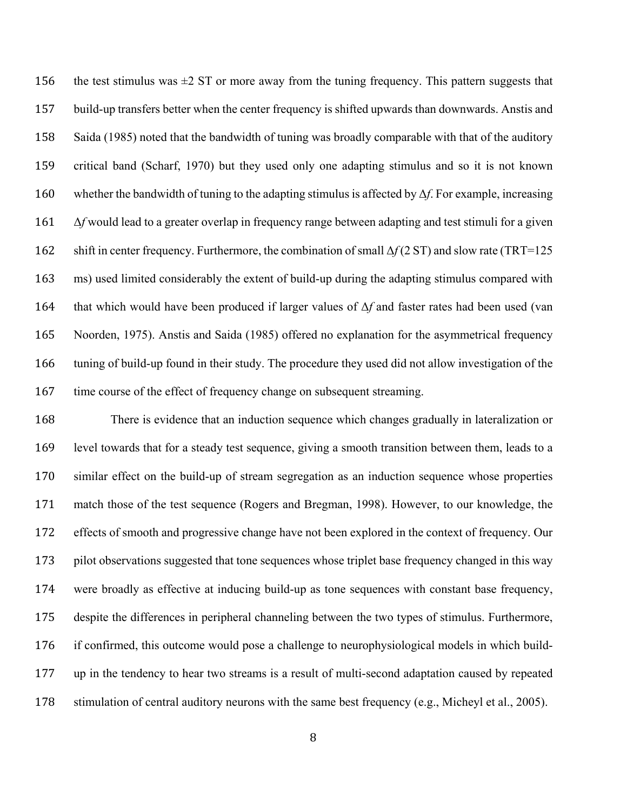156 the test stimulus was  $\pm 2$  ST or more away from the tuning frequency. This pattern suggests that build-up transfers better when the center frequency is shifted upwards than downwards. Anstis and Saida (1985) noted that the bandwidth of tuning was broadly comparable with that of the auditory critical band (Scharf, 1970) but they used only one adapting stimulus and so it is not known whether the bandwidth of tuning to the adapting stimulus is affected by Δ*f*. For example, increasing Δ*f* would lead to a greater overlap in frequency range between adapting and test stimuli for a given shift in center frequency. Furthermore, the combination of small Δ*f* (2 ST) and slow rate (TRT=125 ms) used limited considerably the extent of build-up during the adapting stimulus compared with that which would have been produced if larger values of Δ*f* and faster rates had been used (van Noorden, 1975). Anstis and Saida (1985) offered no explanation for the asymmetrical frequency tuning of build-up found in their study. The procedure they used did not allow investigation of the time course of the effect of frequency change on subsequent streaming.

 There is evidence that an induction sequence which changes gradually in lateralization or level towards that for a steady test sequence, giving a smooth transition between them, leads to a similar effect on the build-up of stream segregation as an induction sequence whose properties match those of the test sequence (Rogers and Bregman, 1998). However, to our knowledge, the effects of smooth and progressive change have not been explored in the context of frequency. Our pilot observations suggested that tone sequences whose triplet base frequency changed in this way were broadly as effective at inducing build-up as tone sequences with constant base frequency, despite the differences in peripheral channeling between the two types of stimulus. Furthermore, if confirmed, this outcome would pose a challenge to neurophysiological models in which build- up in the tendency to hear two streams is a result of multi-second adaptation caused by repeated stimulation of central auditory neurons with the same best frequency (e.g., Micheyl et al., 2005).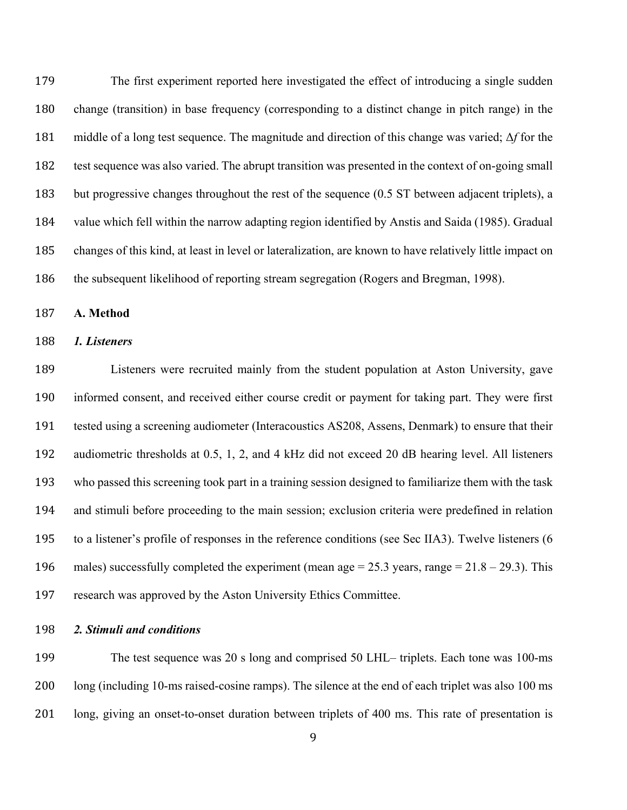The first experiment reported here investigated the effect of introducing a single sudden change (transition) in base frequency (corresponding to a distinct change in pitch range) in the middle of a long test sequence. The magnitude and direction of this change was varied; Δ*f* for the test sequence was also varied. The abrupt transition was presented in the context of on-going small but progressive changes throughout the rest of the sequence (0.5 ST between adjacent triplets), a value which fell within the narrow adapting region identified by Anstis and Saida (1985). Gradual changes of this kind, at least in level or lateralization, are known to have relatively little impact on the subsequent likelihood of reporting stream segregation (Rogers and Bregman, 1998).

**A. Method**

## *1. Listeners*

 Listeners were recruited mainly from the student population at Aston University, gave informed consent, and received either course credit or payment for taking part. They were first tested using a screening audiometer (Interacoustics AS208, Assens, Denmark) to ensure that their audiometric thresholds at 0.5, 1, 2, and 4 kHz did not exceed 20 dB hearing level. All listeners who passed this screening took part in a training session designed to familiarize them with the task and stimuli before proceeding to the main session; exclusion criteria were predefined in relation to a listener's profile of responses in the reference conditions (see Sec IIA3). Twelve listeners (6 196 males) successfully completed the experiment (mean age  $= 25.3$  years, range  $= 21.8 - 29.3$ ). This research was approved by the Aston University Ethics Committee.

*2. Stimuli and conditions*

 The test sequence was 20 s long and comprised 50 LHL– triplets. Each tone was 100-ms long (including 10-ms raised-cosine ramps). The silence at the end of each triplet was also 100 ms long, giving an onset-to-onset duration between triplets of 400 ms. This rate of presentation is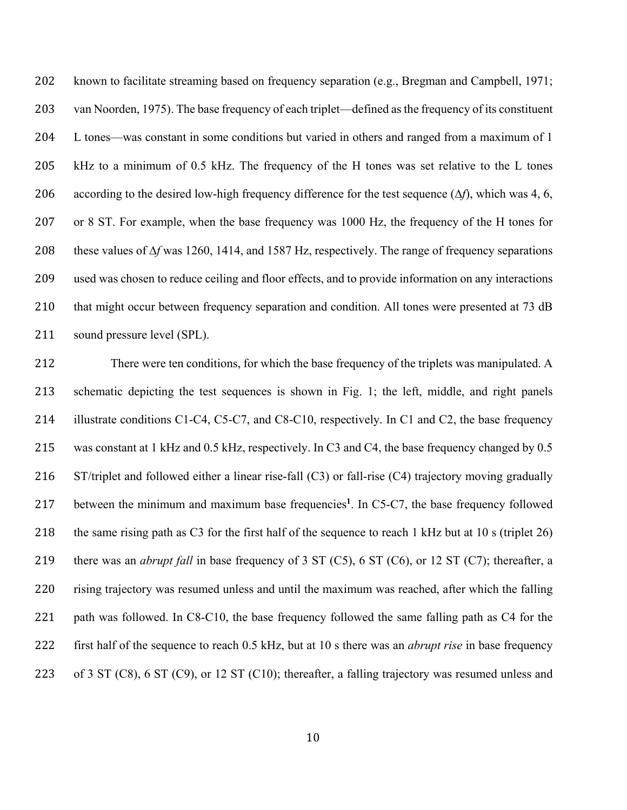known to facilitate streaming based on frequency separation (e.g., Bregman and Campbell, 1971; van Noorden, 1975). The base frequency of each triplet—defined as the frequency of its constituent L tones—was constant in some conditions but varied in others and ranged from a maximum of 1 kHz to a minimum of 0.5 kHz. The frequency of the H tones was set relative to the L tones according to the desired low-high frequency difference for the test sequence (∆*f*), which was 4, 6, or 8 ST. For example, when the base frequency was 1000 Hz, the frequency of the H tones for these values of ∆*f* was 1260, 1414, and 1587 Hz, respectively. The range of frequency separations used was chosen to reduce ceiling and floor effects, and to provide information on any interactions 210 that might occur between frequency separation and condition. All tones were presented at 73 dB sound pressure level (SPL).

 There were ten conditions, for which the base frequency of the triplets was manipulated. A schematic depicting the test sequences is shown in Fig. 1; the left, middle, and right panels 214 illustrate conditions C1-C4, C5-C7, and C8-C10, respectively. In C1 and C2, the base frequency was constant at 1 kHz and 0.5 kHz, respectively. In C3 and C4, the base frequency changed by 0.5 ST/triplet and followed either a linear rise-fall (C3) or fall-rise (C4) trajectory moving gradually 217 between the minimum and maximum base frequencies<sup>1</sup>. In C5-C7, the base frequency followed the same rising path as C3 for the first half of the sequence to reach 1 kHz but at 10 s (triplet 26) there was an *abrupt fall* in base frequency of 3 ST (C5), 6 ST (C6), or 12 ST (C7); thereafter, a rising trajectory was resumed unless and until the maximum was reached, after which the falling 221 path was followed. In C8-C10, the base frequency followed the same falling path as C4 for the first half of the sequence to reach 0.5 kHz, but at 10 s there was an *abrupt rise* in base frequency of 3 ST (C8), 6 ST (C9), or 12 ST (C10); thereafter, a falling trajectory was resumed unless and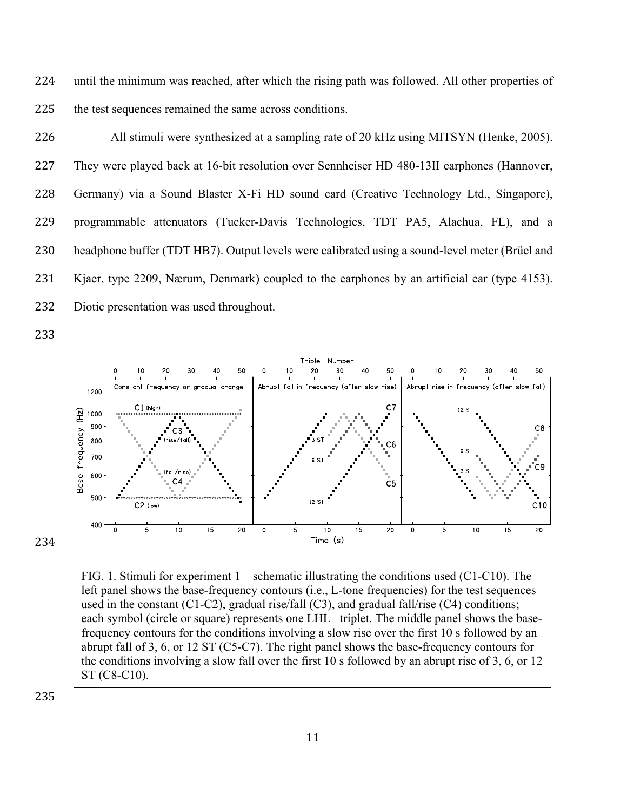until the minimum was reached, after which the rising path was followed. All other properties of the test sequences remained the same across conditions.

 All stimuli were synthesized at a sampling rate of 20 kHz using MITSYN (Henke, 2005). They were played back at 16-bit resolution over Sennheiser HD 480-13II earphones (Hannover, Germany) via a Sound Blaster X-Fi HD sound card (Creative Technology Ltd., Singapore), programmable attenuators (Tucker-Davis Technologies, TDT PA5, Alachua, FL), and a headphone buffer (TDT HB7). Output levels were calibrated using a sound-level meter (Brüel and Kjaer, type 2209, Nærum, Denmark) coupled to the earphones by an artificial ear (type 4153). Diotic presentation was used throughout.



FIG. 1. Stimuli for experiment 1—schematic illustrating the conditions used (C1-C10). The left panel shows the base-frequency contours (i.e., L-tone frequencies) for the test sequences used in the constant (C1-C2), gradual rise/fall (C3), and gradual fall/rise (C4) conditions; each symbol (circle or square) represents one LHL– triplet. The middle panel shows the basefrequency contours for the conditions involving a slow rise over the first 10 s followed by an abrupt fall of 3, 6, or 12 ST (C5-C7). The right panel shows the base-frequency contours for the conditions involving a slow fall over the first 10 s followed by an abrupt rise of 3, 6, or 12 ST (C8-C10).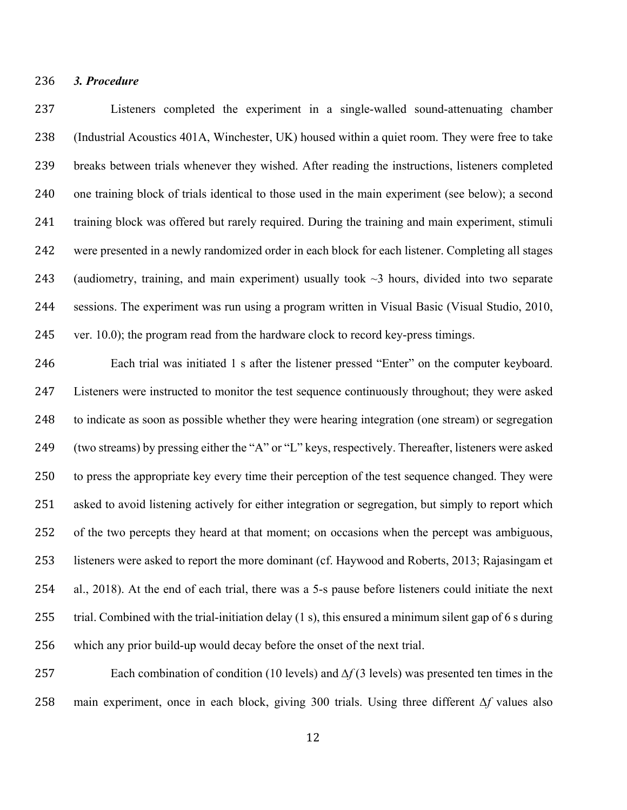# *3. Procedure*

 Listeners completed the experiment in a single-walled sound-attenuating chamber (Industrial Acoustics 401A, Winchester, UK) housed within a quiet room. They were free to take breaks between trials whenever they wished. After reading the instructions, listeners completed one training block of trials identical to those used in the main experiment (see below); a second training block was offered but rarely required. During the training and main experiment, stimuli were presented in a newly randomized order in each block for each listener. Completing all stages 243 (audiometry, training, and main experiment) usually took  $\sim$ 3 hours, divided into two separate sessions. The experiment was run using a program written in Visual Basic (Visual Studio, 2010, ver. 10.0); the program read from the hardware clock to record key-press timings.

 Each trial was initiated 1 s after the listener pressed "Enter" on the computer keyboard. Listeners were instructed to monitor the test sequence continuously throughout; they were asked to indicate as soon as possible whether they were hearing integration (one stream) or segregation (two streams) by pressing either the "A" or "L" keys, respectively. Thereafter, listeners were asked to press the appropriate key every time their perception of the test sequence changed. They were asked to avoid listening actively for either integration or segregation, but simply to report which of the two percepts they heard at that moment; on occasions when the percept was ambiguous, listeners were asked to report the more dominant (cf. Haywood and Roberts, 2013; Rajasingam et al., 2018). At the end of each trial, there was a 5-s pause before listeners could initiate the next 255 trial. Combined with the trial-initiation delay (1 s), this ensured a minimum silent gap of 6 s during which any prior build-up would decay before the onset of the next trial.

 Each combination of condition (10 levels) and *∆f* (3 levels) was presented ten times in the main experiment, once in each block, giving 300 trials. Using three different *∆f* values also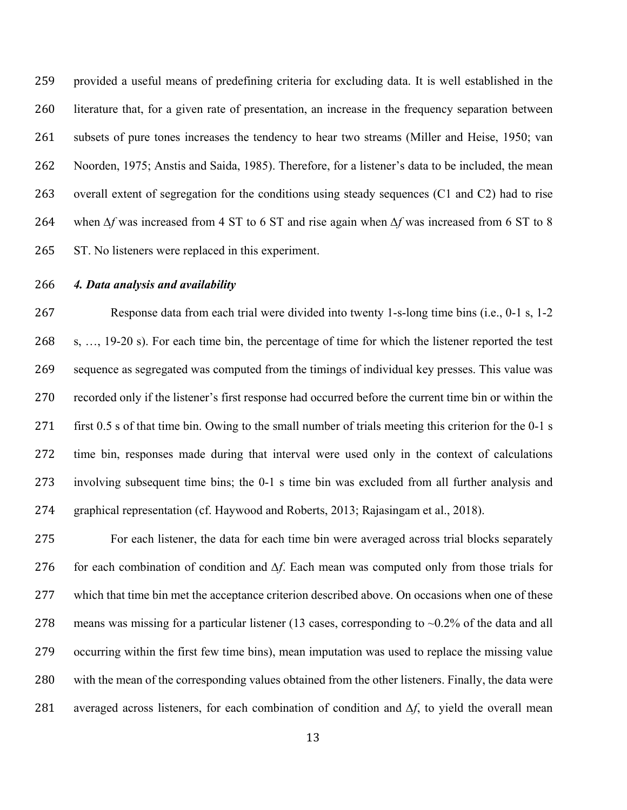provided a useful means of predefining criteria for excluding data. It is well established in the literature that, for a given rate of presentation, an increase in the frequency separation between subsets of pure tones increases the tendency to hear two streams (Miller and Heise, 1950; van Noorden, 1975; Anstis and Saida, 1985). Therefore, for a listener's data to be included, the mean overall extent of segregation for the conditions using steady sequences (C1 and C2) had to rise when *∆f* was increased from 4 ST to 6 ST and rise again when *∆f* was increased from 6 ST to 8 ST. No listeners were replaced in this experiment.

#### *4. Data analysis and availability*

 Response data from each trial were divided into twenty 1-s-long time bins (i.e., 0-1 s, 1-2 s, …, 19-20 s). For each time bin, the percentage of time for which the listener reported the test sequence as segregated was computed from the timings of individual key presses. This value was recorded only if the listener's first response had occurred before the current time bin or within the first 0.5 s of that time bin. Owing to the small number of trials meeting this criterion for the 0-1 s time bin, responses made during that interval were used only in the context of calculations involving subsequent time bins; the 0-1 s time bin was excluded from all further analysis and graphical representation (cf. Haywood and Roberts, 2013; Rajasingam et al., 2018).

 For each listener, the data for each time bin were averaged across trial blocks separately for each combination of condition and *∆f*. Each mean was computed only from those trials for which that time bin met the acceptance criterion described above. On occasions when one of these 278 means was missing for a particular listener (13 cases, corresponding to  $\sim 0.2\%$  of the data and all occurring within the first few time bins), mean imputation was used to replace the missing value with the mean of the corresponding values obtained from the other listeners. Finally, the data were averaged across listeners, for each combination of condition and *∆f*, to yield the overall mean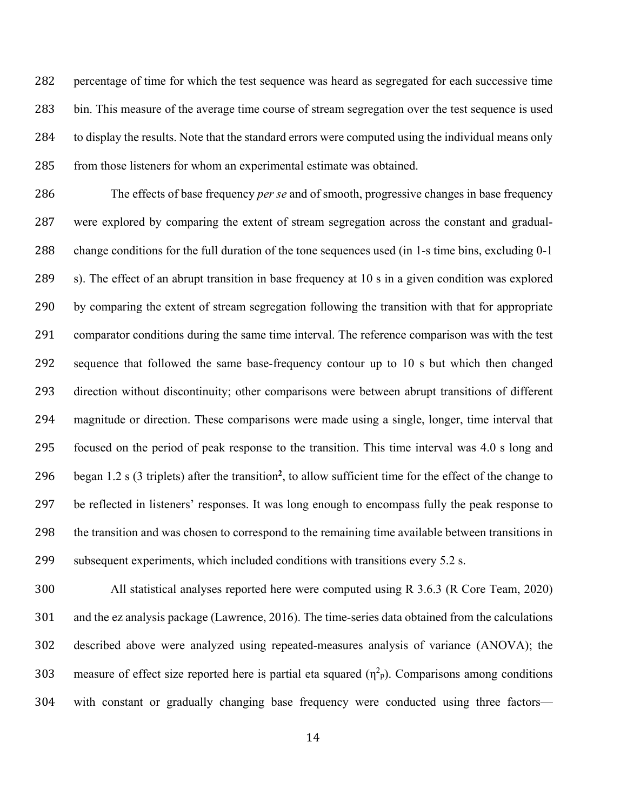percentage of time for which the test sequence was heard as segregated for each successive time bin. This measure of the average time course of stream segregation over the test sequence is used 284 to display the results. Note that the standard errors were computed using the individual means only from those listeners for whom an experimental estimate was obtained.

 The effects of base frequency *per se* and of smooth, progressive changes in base frequency were explored by comparing the extent of stream segregation across the constant and gradual- change conditions for the full duration of the tone sequences used (in 1-s time bins, excluding 0-1 s). The effect of an abrupt transition in base frequency at 10 s in a given condition was explored by comparing the extent of stream segregation following the transition with that for appropriate comparator conditions during the same time interval. The reference comparison was with the test sequence that followed the same base-frequency contour up to 10 s but which then changed direction without discontinuity; other comparisons were between abrupt transitions of different magnitude or direction. These comparisons were made using a single, longer, time interval that focused on the period of peak response to the transition. This time interval was 4.0 s long and 296 began 1.2 s (3 triplets) after the transition<sup>2</sup>, to allow sufficient time for the effect of the change to be reflected in listeners' responses. It was long enough to encompass fully the peak response to the transition and was chosen to correspond to the remaining time available between transitions in subsequent experiments, which included conditions with transitions every 5.2 s.

 All statistical analyses reported here were computed using R 3.6.3 (R Core Team, 2020) and the ez analysis package (Lawrence, 2016). The time-series data obtained from the calculations described above were analyzed using repeated-measures analysis of variance (ANOVA); the 303 measure of effect size reported here is partial eta squared  $(\eta^2 p)$ . Comparisons among conditions with constant or gradually changing base frequency were conducted using three factors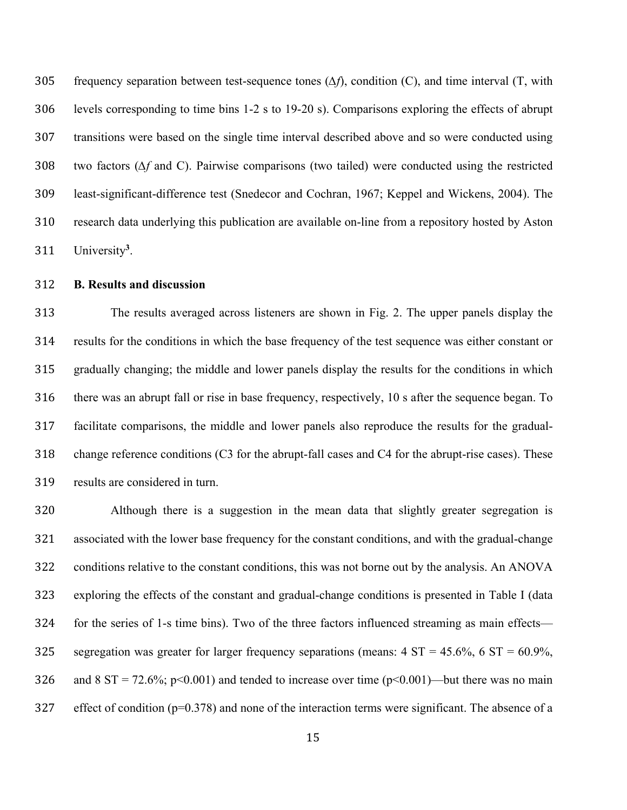frequency separation between test-sequence tones (*∆f*), condition (C), and time interval (T, with levels corresponding to time bins 1-2 s to 19-20 s). Comparisons exploring the effects of abrupt transitions were based on the single time interval described above and so were conducted using two factors (*∆f* and C). Pairwise comparisons (two tailed) were conducted using the restricted least-significant-difference test (Snedecor and Cochran, 1967; Keppel and Wickens, 2004). The research data underlying this publication are available on-line from a repository hosted by Aston 311 University<sup>3</sup>.

# **B. Results and discussion**

 The results averaged across listeners are shown in Fig. 2. The upper panels display the results for the conditions in which the base frequency of the test sequence was either constant or gradually changing; the middle and lower panels display the results for the conditions in which there was an abrupt fall or rise in base frequency, respectively, 10 s after the sequence began. To facilitate comparisons, the middle and lower panels also reproduce the results for the gradual- change reference conditions (C3 for the abrupt-fall cases and C4 for the abrupt-rise cases). These results are considered in turn.

 Although there is a suggestion in the mean data that slightly greater segregation is associated with the lower base frequency for the constant conditions, and with the gradual-change conditions relative to the constant conditions, this was not borne out by the analysis. An ANOVA exploring the effects of the constant and gradual-change conditions is presented in Table I (data for the series of 1-s time bins). Two of the three factors influenced streaming as main effects— 325 segregation was greater for larger frequency separations (means:  $4 \text{ ST} = 45.6\%, 6 \text{ ST} = 60.9\%,$ 326 and 8 ST = 72.6%; p<0.001) and tended to increase over time (p<0.001)—but there was no main effect of condition (p=0.378) and none of the interaction terms were significant. The absence of a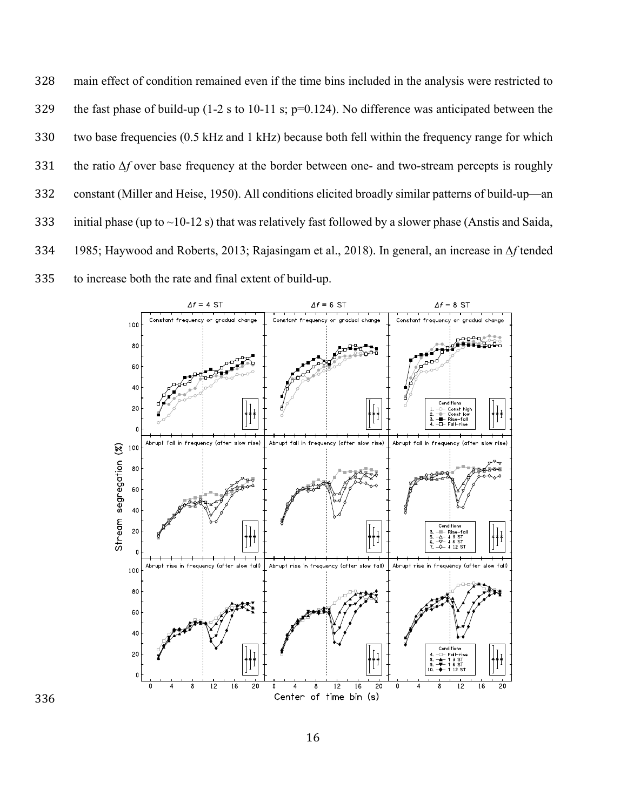main effect of condition remained even if the time bins included in the analysis were restricted to the fast phase of build-up (1-2 s to 10-11 s; p=0.124). No difference was anticipated between the two base frequencies (0.5 kHz and 1 kHz) because both fell within the frequency range for which the ratio *∆f* over base frequency at the border between one- and two-stream percepts is roughly constant (Miller and Heise, 1950). All conditions elicited broadly similar patterns of build-up—an 333 initial phase (up to  $\sim$ 10-12 s) that was relatively fast followed by a slower phase (Anstis and Saida, 1985; Haywood and Roberts, 2013; Rajasingam et al., 2018). In general, an increase in *∆f* tended to increase both the rate and final extent of build-up.

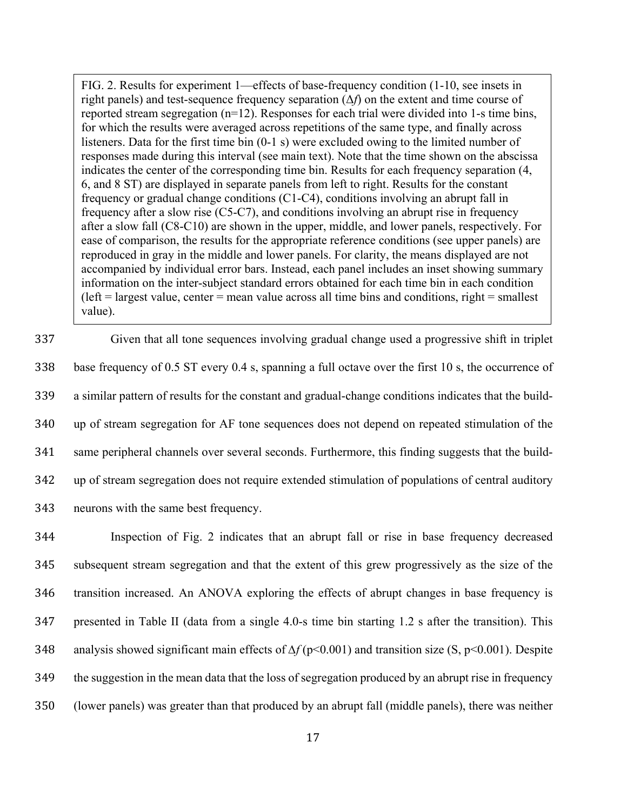FIG. 2. Results for experiment 1—effects of base-frequency condition (1-10, see insets in right panels) and test-sequence frequency separation (Δ*f*) on the extent and time course of reported stream segregation (n=12). Responses for each trial were divided into 1-s time bins, for which the results were averaged across repetitions of the same type, and finally across listeners. Data for the first time bin (0-1 s) were excluded owing to the limited number of responses made during this interval (see main text). Note that the time shown on the abscissa indicates the center of the corresponding time bin. Results for each frequency separation (4, 6, and 8 ST) are displayed in separate panels from left to right. Results for the constant frequency or gradual change conditions (C1-C4), conditions involving an abrupt fall in frequency after a slow rise (C5-C7), and conditions involving an abrupt rise in frequency after a slow fall (C8-C10) are shown in the upper, middle, and lower panels, respectively. For ease of comparison, the results for the appropriate reference conditions (see upper panels) are reproduced in gray in the middle and lower panels. For clarity, the means displayed are not accompanied by individual error bars. Instead, each panel includes an inset showing summary information on the inter-subject standard errors obtained for each time bin in each condition  $(\text{left} = \text{largest value}, \text{center} = \text{mean value across all time bins and conditions}, \text{right} = \text{smallest}$ value).

 Given that all tone sequences involving gradual change used a progressive shift in triplet base frequency of 0.5 ST every 0.4 s, spanning a full octave over the first 10 s, the occurrence of a similar pattern of results for the constant and gradual-change conditions indicates that the build- up of stream segregation for AF tone sequences does not depend on repeated stimulation of the same peripheral channels over several seconds. Furthermore, this finding suggests that the build- up of stream segregation does not require extended stimulation of populations of central auditory neurons with the same best frequency.

 Inspection of Fig. 2 indicates that an abrupt fall or rise in base frequency decreased subsequent stream segregation and that the extent of this grew progressively as the size of the transition increased. An ANOVA exploring the effects of abrupt changes in base frequency is presented in Table II (data from a single 4.0-s time bin starting 1.2 s after the transition). This analysis showed significant main effects of *∆f* (p<0.001) and transition size (S, p<0.001). Despite the suggestion in the mean data that the loss of segregation produced by an abrupt rise in frequency (lower panels) was greater than that produced by an abrupt fall (middle panels), there was neither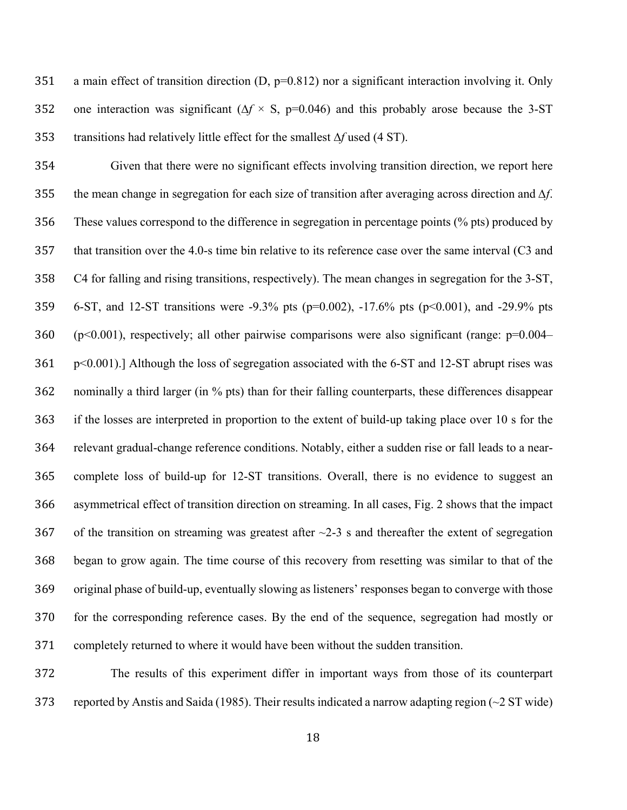351 a main effect of transition direction  $(D, p=0.812)$  nor a significant interaction involving it. Only one interaction was significant (∆*f* × S, p=0.046) and this probably arose because the 3-ST transitions had relatively little effect for the smallest ∆*f* used (4 ST).

 Given that there were no significant effects involving transition direction, we report here the mean change in segregation for each size of transition after averaging across direction and *∆f*. These values correspond to the difference in segregation in percentage points (% pts) produced by that transition over the 4.0-s time bin relative to its reference case over the same interval (C3 and C4 for falling and rising transitions, respectively). The mean changes in segregation for the 3-ST, 6-ST, and 12-ST transitions were -9.3% pts (p=0.002), -17.6% pts (p<0.001), and -29.9% pts 360 ( $p<0.001$ ), respectively; all other pairwise comparisons were also significant (range:  $p=0.004-$  p<0.001).] Although the loss of segregation associated with the 6-ST and 12-ST abrupt rises was nominally a third larger (in % pts) than for their falling counterparts, these differences disappear if the losses are interpreted in proportion to the extent of build-up taking place over 10 s for the relevant gradual-change reference conditions. Notably, either a sudden rise or fall leads to a near- complete loss of build-up for 12-ST transitions. Overall, there is no evidence to suggest an asymmetrical effect of transition direction on streaming. In all cases, Fig. 2 shows that the impact 367 of the transition on streaming was greatest after  $\sim$ 2-3 s and thereafter the extent of segregation began to grow again. The time course of this recovery from resetting was similar to that of the original phase of build-up, eventually slowing as listeners' responses began to converge with those for the corresponding reference cases. By the end of the sequence, segregation had mostly or completely returned to where it would have been without the sudden transition.

 The results of this experiment differ in important ways from those of its counterpart reported by Anstis and Saida (1985). Their results indicated a narrow adapting region (~2 ST wide)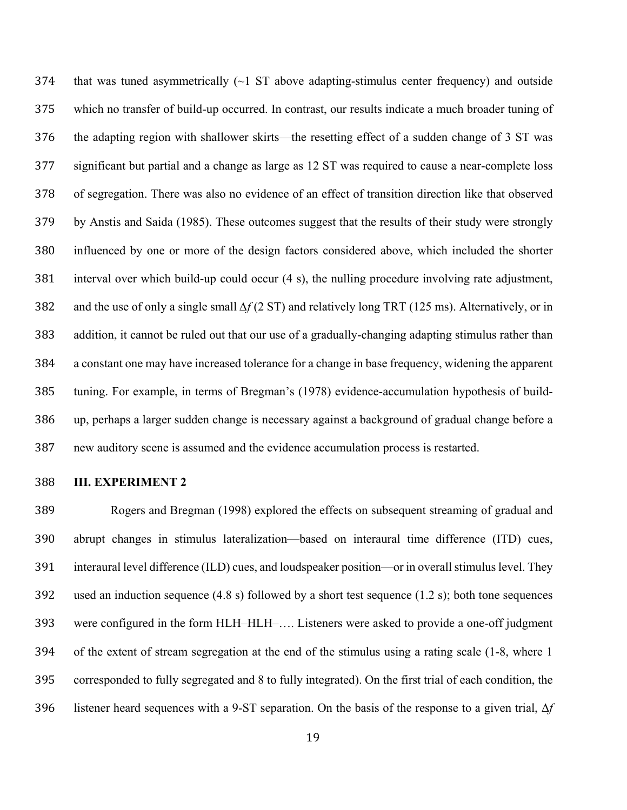374 that was tuned asymmetrically  $(\sim]$  ST above adapting-stimulus center frequency) and outside which no transfer of build-up occurred. In contrast, our results indicate a much broader tuning of the adapting region with shallower skirts—the resetting effect of a sudden change of 3 ST was significant but partial and a change as large as 12 ST was required to cause a near-complete loss of segregation. There was also no evidence of an effect of transition direction like that observed by Anstis and Saida (1985). These outcomes suggest that the results of their study were strongly influenced by one or more of the design factors considered above, which included the shorter interval over which build-up could occur (4 s), the nulling procedure involving rate adjustment, and the use of only a single small *∆f* (2 ST) and relatively long TRT (125 ms). Alternatively, or in addition, it cannot be ruled out that our use of a gradually-changing adapting stimulus rather than a constant one may have increased tolerance for a change in base frequency, widening the apparent tuning. For example, in terms of Bregman's (1978) evidence-accumulation hypothesis of build- up, perhaps a larger sudden change is necessary against a background of gradual change before a new auditory scene is assumed and the evidence accumulation process is restarted.

# **III. EXPERIMENT 2**

 Rogers and Bregman (1998) explored the effects on subsequent streaming of gradual and abrupt changes in stimulus lateralization—based on interaural time difference (ITD) cues, interaural level difference (ILD) cues, and loudspeaker position—or in overall stimulus level. They used an induction sequence (4.8 s) followed by a short test sequence (1.2 s); both tone sequences were configured in the form HLH–HLH–…. Listeners were asked to provide a one-off judgment of the extent of stream segregation at the end of the stimulus using a rating scale (1-8, where 1 corresponded to fully segregated and 8 to fully integrated). On the first trial of each condition, the listener heard sequences with a 9-ST separation. On the basis of the response to a given trial, Δ*f*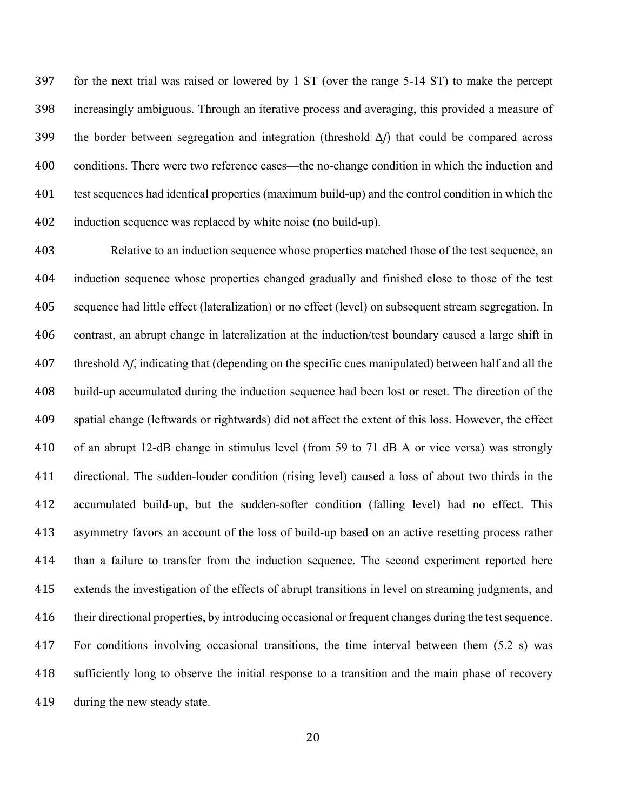for the next trial was raised or lowered by 1 ST (over the range 5-14 ST) to make the percept increasingly ambiguous. Through an iterative process and averaging, this provided a measure of the border between segregation and integration (threshold Δ*f*) that could be compared across 400 conditions. There were two reference cases—the no-change condition in which the induction and test sequences had identical properties (maximum build-up) and the control condition in which the induction sequence was replaced by white noise (no build-up).

 Relative to an induction sequence whose properties matched those of the test sequence, an induction sequence whose properties changed gradually and finished close to those of the test sequence had little effect (lateralization) or no effect (level) on subsequent stream segregation. In contrast, an abrupt change in lateralization at the induction/test boundary caused a large shift in threshold Δ*f*, indicating that (depending on the specific cues manipulated) between half and all the build-up accumulated during the induction sequence had been lost or reset. The direction of the spatial change (leftwards or rightwards) did not affect the extent of this loss. However, the effect of an abrupt 12-dB change in stimulus level (from 59 to 71 dB A or vice versa) was strongly directional. The sudden-louder condition (rising level) caused a loss of about two thirds in the accumulated build-up, but the sudden-softer condition (falling level) had no effect. This asymmetry favors an account of the loss of build-up based on an active resetting process rather than a failure to transfer from the induction sequence. The second experiment reported here extends the investigation of the effects of abrupt transitions in level on streaming judgments, and 416 their directional properties, by introducing occasional or frequent changes during the test sequence. For conditions involving occasional transitions, the time interval between them (5.2 s) was sufficiently long to observe the initial response to a transition and the main phase of recovery during the new steady state.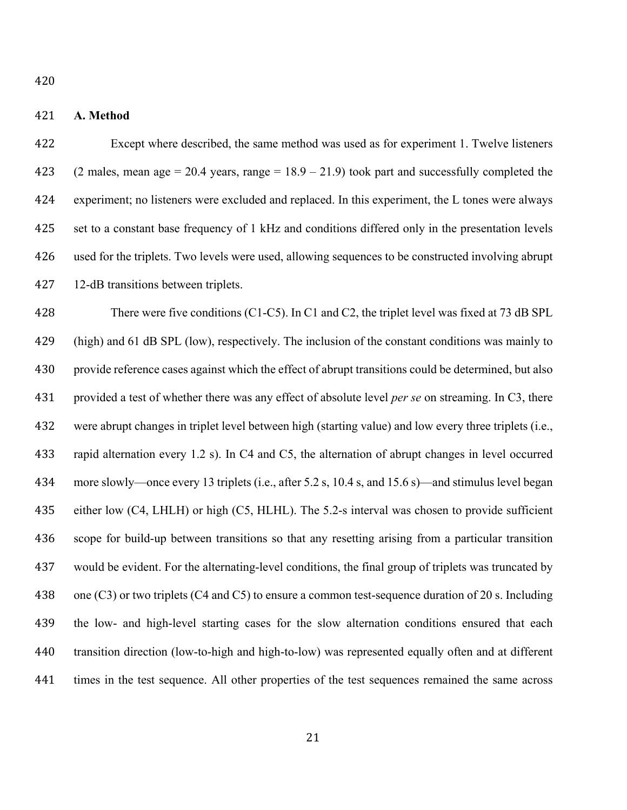# **A. Method**

 Except where described, the same method was used as for experiment 1. Twelve listeners 423 (2 males, mean age = 20.4 years, range =  $18.9 - 21.9$ ) took part and successfully completed the experiment; no listeners were excluded and replaced. In this experiment, the L tones were always set to a constant base frequency of 1 kHz and conditions differed only in the presentation levels used for the triplets. Two levels were used, allowing sequences to be constructed involving abrupt 12-dB transitions between triplets.

 There were five conditions (C1-C5). In C1 and C2, the triplet level was fixed at 73 dB SPL (high) and 61 dB SPL (low), respectively. The inclusion of the constant conditions was mainly to provide reference cases against which the effect of abrupt transitions could be determined, but also provided a test of whether there was any effect of absolute level *per se* on streaming. In C3, there were abrupt changes in triplet level between high (starting value) and low every three triplets (i.e., rapid alternation every 1.2 s). In C4 and C5, the alternation of abrupt changes in level occurred more slowly—once every 13 triplets (i.e., after 5.2 s, 10.4 s, and 15.6 s)—and stimulus level began either low (C4, LHLH) or high (C5, HLHL). The 5.2-s interval was chosen to provide sufficient scope for build-up between transitions so that any resetting arising from a particular transition would be evident. For the alternating-level conditions, the final group of triplets was truncated by 438 one (C3) or two triplets (C4 and C5) to ensure a common test-sequence duration of 20 s. Including the low- and high-level starting cases for the slow alternation conditions ensured that each transition direction (low-to-high and high-to-low) was represented equally often and at different times in the test sequence. All other properties of the test sequences remained the same across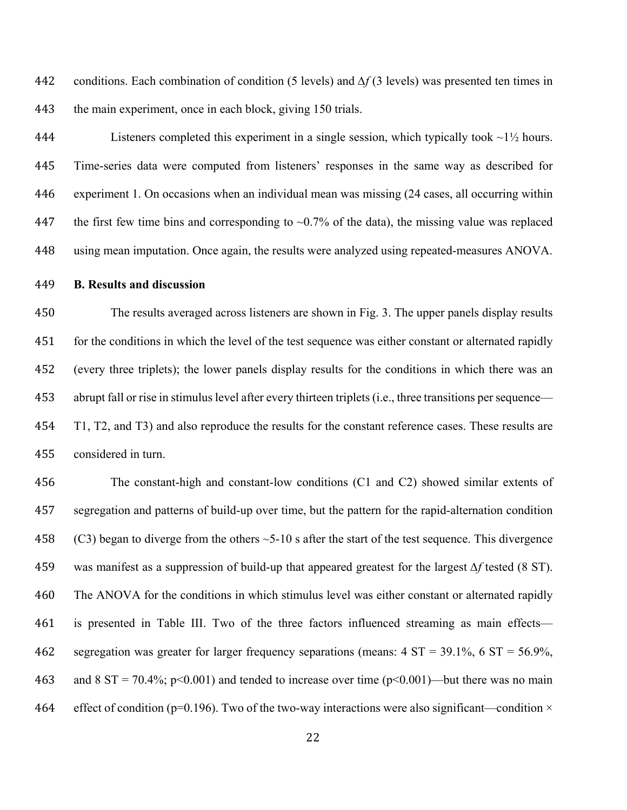conditions. Each combination of condition (5 levels) and *∆f* (3 levels) was presented ten times in 443 the main experiment, once in each block, giving 150 trials.

444 Listeners completed this experiment in a single session, which typically took  $\sim$ 1 $\frac{1}{2}$  hours. Time-series data were computed from listeners' responses in the same way as described for experiment 1. On occasions when an individual mean was missing (24 cases, all occurring within 447 the first few time bins and corresponding to  $\sim 0.7\%$  of the data), the missing value was replaced using mean imputation. Once again, the results were analyzed using repeated-measures ANOVA.

#### **B. Results and discussion**

 The results averaged across listeners are shown in Fig. 3. The upper panels display results 451 for the conditions in which the level of the test sequence was either constant or alternated rapidly (every three triplets); the lower panels display results for the conditions in which there was an abrupt fall or rise in stimulus level after every thirteen triplets (i.e., three transitions per sequence— T1, T2, and T3) and also reproduce the results for the constant reference cases. These results are considered in turn.

 The constant-high and constant-low conditions (C1 and C2) showed similar extents of segregation and patterns of build-up over time, but the pattern for the rapid-alternation condition 458 (C3) began to diverge from the others  $\sim$  5-10 s after the start of the test sequence. This divergence was manifest as a suppression of build-up that appeared greatest for the largest *∆f* tested (8 ST). The ANOVA for the conditions in which stimulus level was either constant or alternated rapidly is presented in Table III. Two of the three factors influenced streaming as main effects— segregation was greater for larger frequency separations (means: 4 ST = 39.1%, 6 ST = 56.9%, 463 and 8 ST = 70.4%; p<0.001) and tended to increase over time (p<0.001)—but there was no main 464 effect of condition ( $p=0.196$ ). Two of the two-way interactions were also significant—condition  $\times$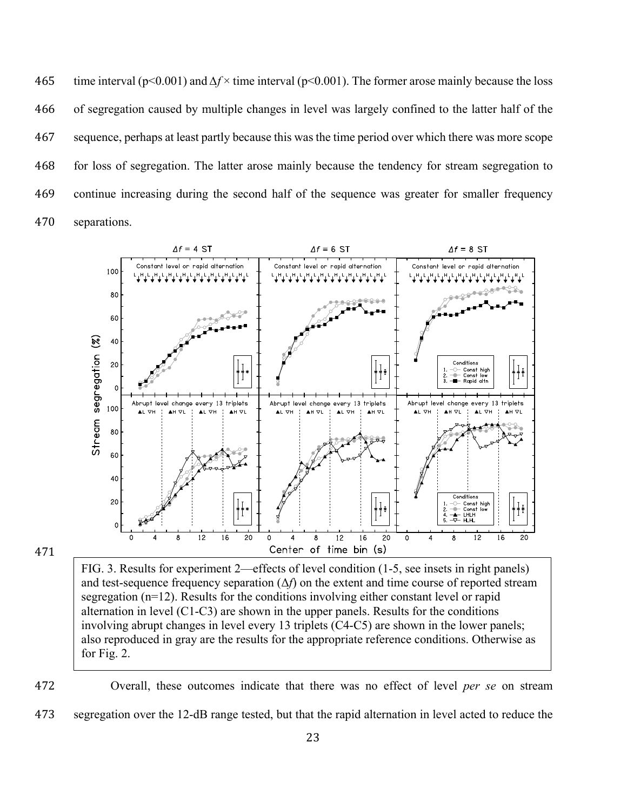time interval (p<0.001) and *∆f* × time interval (p<0.001). The former arose mainly because the loss of segregation caused by multiple changes in level was largely confined to the latter half of the sequence, perhaps at least partly because this was the time period over which there was more scope for loss of segregation. The latter arose mainly because the tendency for stream segregation to continue increasing during the second half of the sequence was greater for smaller frequency separations.



# 471

FIG. 3. Results for experiment 2—effects of level condition (1-5, see insets in right panels) and test-sequence frequency separation (Δ*f*) on the extent and time course of reported stream segregation (n=12). Results for the conditions involving either constant level or rapid alternation in level (C1-C3) are shown in the upper panels. Results for the conditions involving abrupt changes in level every 13 triplets (C4-C5) are shown in the lower panels; also reproduced in gray are the results for the appropriate reference conditions. Otherwise as for Fig. 2.

472 Overall, these outcomes indicate that there was no effect of level *per se* on stream 473 segregation over the 12-dB range tested, but that the rapid alternation in level acted to reduce the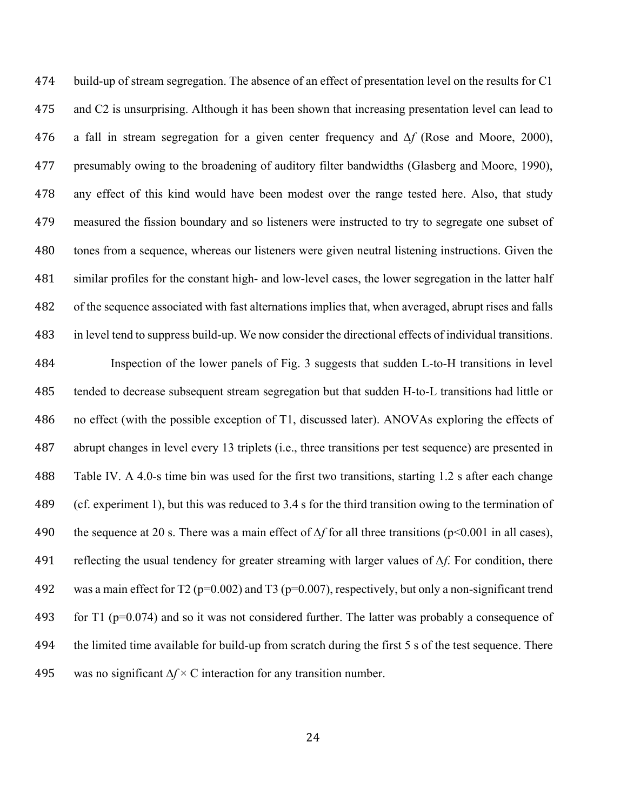build-up of stream segregation. The absence of an effect of presentation level on the results for C1 and C2 is unsurprising. Although it has been shown that increasing presentation level can lead to a fall in stream segregation for a given center frequency and *∆f* (Rose and Moore, 2000), presumably owing to the broadening of auditory filter bandwidths (Glasberg and Moore, 1990), any effect of this kind would have been modest over the range tested here. Also, that study measured the fission boundary and so listeners were instructed to try to segregate one subset of tones from a sequence, whereas our listeners were given neutral listening instructions. Given the similar profiles for the constant high- and low-level cases, the lower segregation in the latter half of the sequence associated with fast alternations implies that, when averaged, abrupt rises and falls in level tend to suppress build-up. We now consider the directional effects of individual transitions. Inspection of the lower panels of Fig. 3 suggests that sudden L-to-H transitions in level tended to decrease subsequent stream segregation but that sudden H-to-L transitions had little or no effect (with the possible exception of T1, discussed later). ANOVAs exploring the effects of abrupt changes in level every 13 triplets (i.e., three transitions per test sequence) are presented in Table IV. A 4.0-s time bin was used for the first two transitions, starting 1.2 s after each change (cf. experiment 1), but this was reduced to 3.4 s for the third transition owing to the termination of the sequence at 20 s. There was a main effect of *∆f* for all three transitions (p<0.001 in all cases), reflecting the usual tendency for greater streaming with larger values of *∆f*. For condition, there 492 was a main effect for T2 ( $p=0.002$ ) and T3 ( $p=0.007$ ), respectively, but only a non-significant trend

the limited time available for build-up from scratch during the first 5 s of the test sequence. There

493 for T1 ( $p=0.074$ ) and so it was not considered further. The latter was probably a consequence of

was no significant ∆*f* × C interaction for any transition number.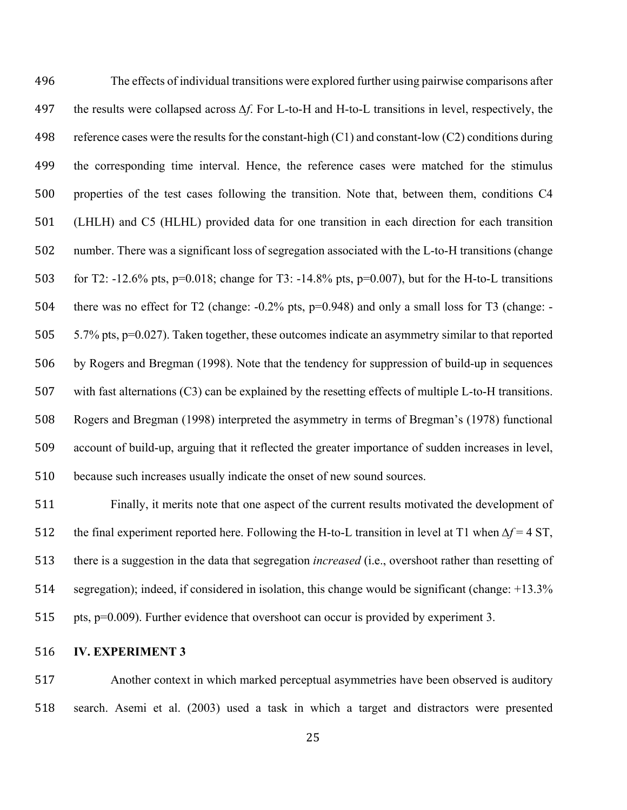The effects of individual transitions were explored further using pairwise comparisons after the results were collapsed across *∆f*. For L-to-H and H-to-L transitions in level, respectively, the 498 reference cases were the results for the constant-high  $(C1)$  and constant-low  $(C2)$  conditions during the corresponding time interval. Hence, the reference cases were matched for the stimulus properties of the test cases following the transition. Note that, between them, conditions C4 (LHLH) and C5 (HLHL) provided data for one transition in each direction for each transition number. There was a significant loss of segregation associated with the L-to-H transitions (change for T2: -12.6% pts, p=0.018; change for T3: -14.8% pts, p=0.007), but for the H-to-L transitions there was no effect for T2 (change: -0.2% pts, p=0.948) and only a small loss for T3 (change: - 5.7% pts, p=0.027). Taken together, these outcomes indicate an asymmetry similar to that reported by Rogers and Bregman (1998). Note that the tendency for suppression of build-up in sequences with fast alternations (C3) can be explained by the resetting effects of multiple L-to-H transitions. Rogers and Bregman (1998) interpreted the asymmetry in terms of Bregman's (1978) functional account of build-up, arguing that it reflected the greater importance of sudden increases in level, because such increases usually indicate the onset of new sound sources.

 Finally, it merits note that one aspect of the current results motivated the development of the final experiment reported here. Following the H-to-L transition in level at T1 when *∆f* = 4 ST, there is a suggestion in the data that segregation *increased* (i.e., overshoot rather than resetting of segregation); indeed, if considered in isolation, this change would be significant (change: +13.3% pts, p=0.009). Further evidence that overshoot can occur is provided by experiment 3.

# **IV. EXPERIMENT 3**

 Another context in which marked perceptual asymmetries have been observed is auditory search. Asemi et al. (2003) used a task in which a target and distractors were presented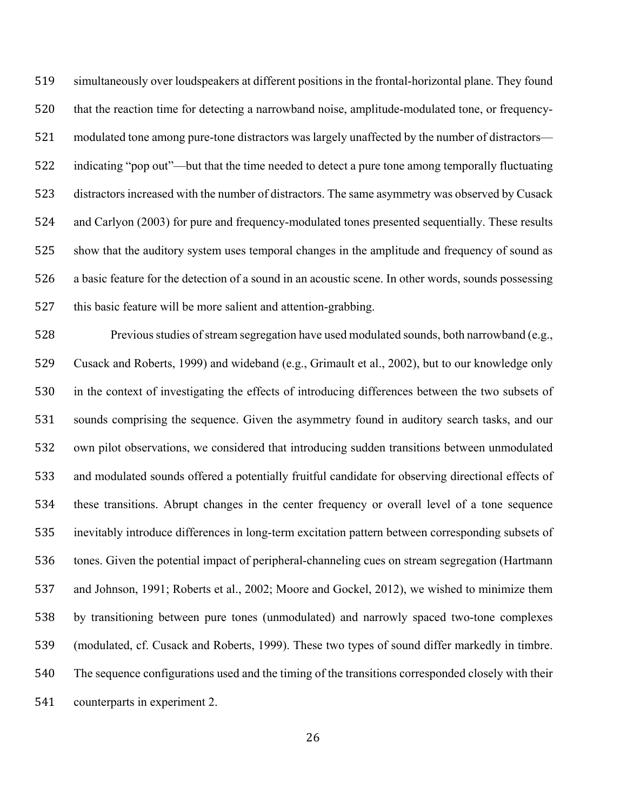simultaneously over loudspeakers at different positions in the frontal-horizontal plane. They found that the reaction time for detecting a narrowband noise, amplitude-modulated tone, or frequency- modulated tone among pure-tone distractors was largely unaffected by the number of distractors— indicating "pop out"—but that the time needed to detect a pure tone among temporally fluctuating distractors increased with the number of distractors. The same asymmetry was observed by Cusack and Carlyon (2003) for pure and frequency-modulated tones presented sequentially. These results show that the auditory system uses temporal changes in the amplitude and frequency of sound as a basic feature for the detection of a sound in an acoustic scene. In other words, sounds possessing this basic feature will be more salient and attention-grabbing.

 Previous studies of stream segregation have used modulated sounds, both narrowband (e.g., Cusack and Roberts, 1999) and wideband (e.g., Grimault et al., 2002), but to our knowledge only in the context of investigating the effects of introducing differences between the two subsets of sounds comprising the sequence. Given the asymmetry found in auditory search tasks, and our own pilot observations, we considered that introducing sudden transitions between unmodulated and modulated sounds offered a potentially fruitful candidate for observing directional effects of these transitions. Abrupt changes in the center frequency or overall level of a tone sequence inevitably introduce differences in long-term excitation pattern between corresponding subsets of tones. Given the potential impact of peripheral-channeling cues on stream segregation (Hartmann and Johnson, 1991; Roberts et al., 2002; Moore and Gockel, 2012), we wished to minimize them by transitioning between pure tones (unmodulated) and narrowly spaced two-tone complexes (modulated, cf. Cusack and Roberts, 1999). These two types of sound differ markedly in timbre. The sequence configurations used and the timing of the transitions corresponded closely with their counterparts in experiment 2.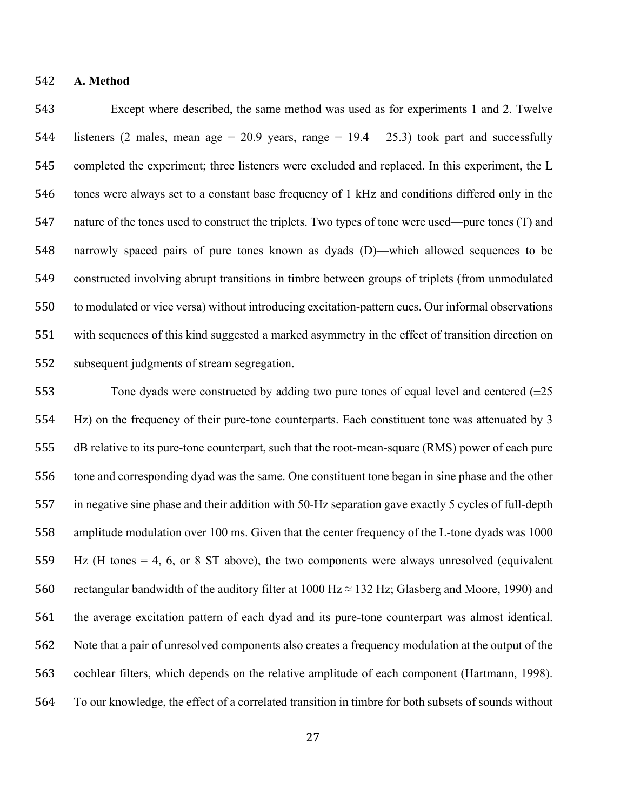## **A. Method**

 Except where described, the same method was used as for experiments 1 and 2. Twelve 544 listeners (2 males, mean age = 20.9 years, range =  $19.4 - 25.3$ ) took part and successfully completed the experiment; three listeners were excluded and replaced. In this experiment, the L tones were always set to a constant base frequency of 1 kHz and conditions differed only in the nature of the tones used to construct the triplets. Two types of tone were used—pure tones (T) and narrowly spaced pairs of pure tones known as dyads (D)—which allowed sequences to be constructed involving abrupt transitions in timbre between groups of triplets (from unmodulated to modulated or vice versa) without introducing excitation-pattern cues. Our informal observations with sequences of this kind suggested a marked asymmetry in the effect of transition direction on subsequent judgments of stream segregation.

553 Tone dyads were constructed by adding two pure tones of equal level and centered  $(\pm 25$  Hz) on the frequency of their pure-tone counterparts. Each constituent tone was attenuated by 3 dB relative to its pure-tone counterpart, such that the root-mean-square (RMS) power of each pure tone and corresponding dyad was the same. One constituent tone began in sine phase and the other in negative sine phase and their addition with 50-Hz separation gave exactly 5 cycles of full-depth amplitude modulation over 100 ms. Given that the center frequency of the L-tone dyads was 1000 Hz (H tones = 4, 6, or 8 ST above), the two components were always unresolved (equivalent 560 rectangular bandwidth of the auditory filter at 1000 Hz  $\approx$  132 Hz; Glasberg and Moore, 1990) and the average excitation pattern of each dyad and its pure-tone counterpart was almost identical. Note that a pair of unresolved components also creates a frequency modulation at the output of the cochlear filters, which depends on the relative amplitude of each component (Hartmann, 1998). To our knowledge, the effect of a correlated transition in timbre for both subsets of sounds without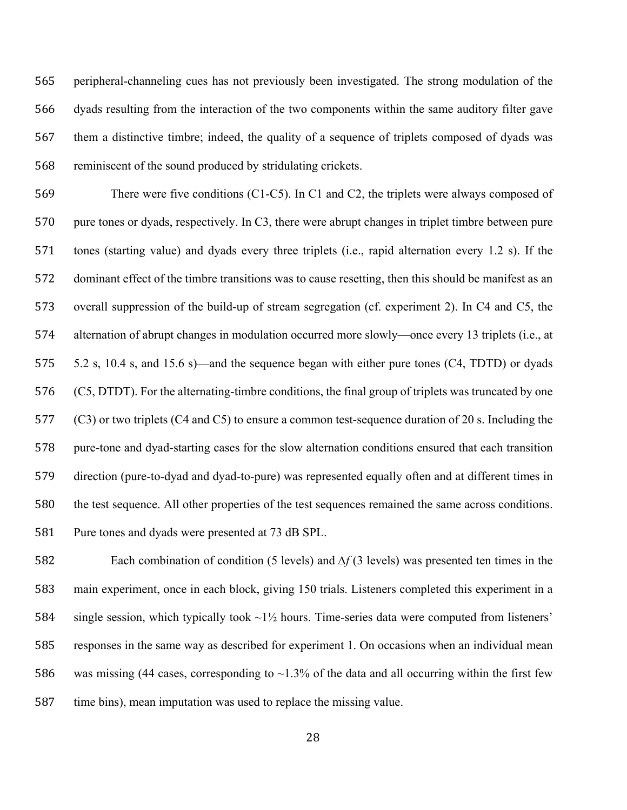peripheral-channeling cues has not previously been investigated. The strong modulation of the dyads resulting from the interaction of the two components within the same auditory filter gave them a distinctive timbre; indeed, the quality of a sequence of triplets composed of dyads was reminiscent of the sound produced by stridulating crickets.

 There were five conditions (C1-C5). In C1 and C2, the triplets were always composed of pure tones or dyads, respectively. In C3, there were abrupt changes in triplet timbre between pure tones (starting value) and dyads every three triplets (i.e., rapid alternation every 1.2 s). If the dominant effect of the timbre transitions was to cause resetting, then this should be manifest as an overall suppression of the build-up of stream segregation (cf. experiment 2). In C4 and C5, the alternation of abrupt changes in modulation occurred more slowly—once every 13 triplets (i.e., at 5.2 s, 10.4 s, and 15.6 s)—and the sequence began with either pure tones (C4, TDTD) or dyads (C5, DTDT). For the alternating-timbre conditions, the final group of triplets was truncated by one (C3) or two triplets (C4 and C5) to ensure a common test-sequence duration of 20 s. Including the pure-tone and dyad-starting cases for the slow alternation conditions ensured that each transition direction (pure-to-dyad and dyad-to-pure) was represented equally often and at different times in the test sequence. All other properties of the test sequences remained the same across conditions. Pure tones and dyads were presented at 73 dB SPL.

 Each combination of condition (5 levels) and *∆f* (3 levels) was presented ten times in the main experiment, once in each block, giving 150 trials. Listeners completed this experiment in a 584 single session, which typically took  $\sim$ 1½ hours. Time-series data were computed from listeners' responses in the same way as described for experiment 1. On occasions when an individual mean 586 was missing (44 cases, corresponding to  $\sim$ 1.3% of the data and all occurring within the first few time bins), mean imputation was used to replace the missing value.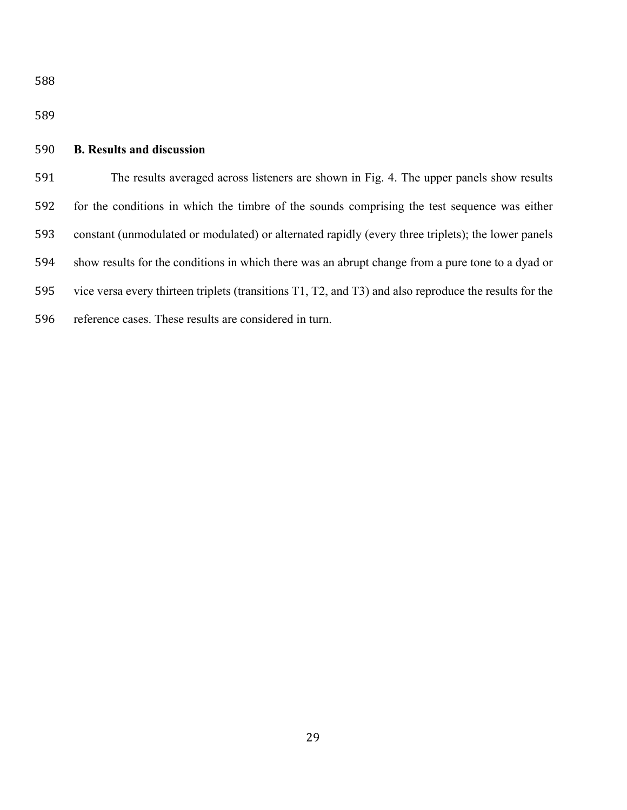# **B. Results and discussion**

 The results averaged across listeners are shown in Fig. 4. The upper panels show results for the conditions in which the timbre of the sounds comprising the test sequence was either constant (unmodulated or modulated) or alternated rapidly (every three triplets); the lower panels show results for the conditions in which there was an abrupt change from a pure tone to a dyad or vice versa every thirteen triplets (transitions T1, T2, and T3) and also reproduce the results for the reference cases. These results are considered in turn.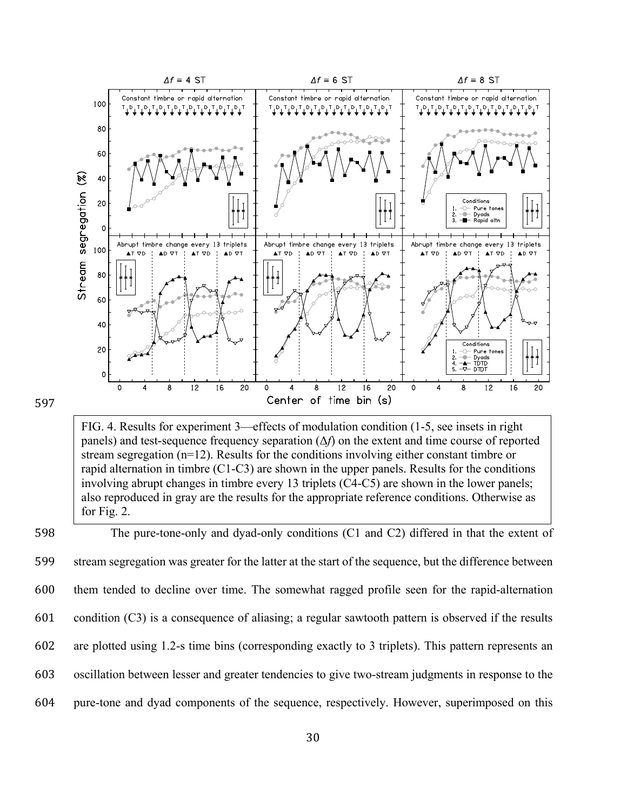

FIG. 4. Results for experiment 3—effects of modulation condition (1-5, see insets in right panels) and test-sequence frequency separation (Δ*f*) on the extent and time course of reported stream segregation (n=12). Results for the conditions involving either constant timbre or rapid alternation in timbre (C1-C3) are shown in the upper panels. Results for the conditions involving abrupt changes in timbre every 13 triplets (C4-C5) are shown in the lower panels; also reproduced in gray are the results for the appropriate reference conditions. Otherwise as for Fig. 2.

 The pure-tone-only and dyad-only conditions (C1 and C2) differed in that the extent of stream segregation was greater for the latter at the start of the sequence, but the difference between them tended to decline over time. The somewhat ragged profile seen for the rapid-alternation condition (C3) is a consequence of aliasing; a regular sawtooth pattern is observed if the results are plotted using 1.2-s time bins (corresponding exactly to 3 triplets). This pattern represents an oscillation between lesser and greater tendencies to give two-stream judgments in response to the pure-tone and dyad components of the sequence, respectively. However, superimposed on this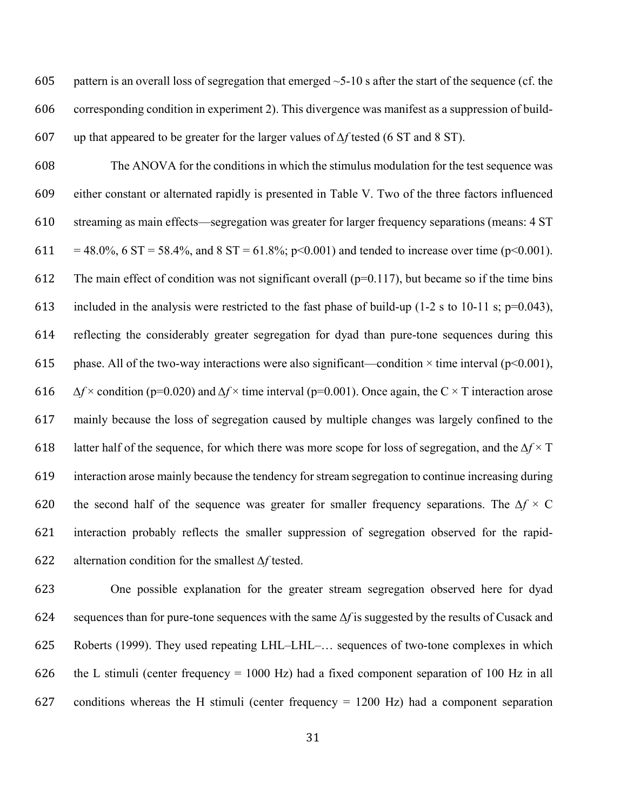605 pattern is an overall loss of segregation that emerged  $\sim$ 5-10 s after the start of the sequence (cf. the corresponding condition in experiment 2). This divergence was manifest as a suppression of build-up that appeared to be greater for the larger values of *∆f* tested (6 ST and 8 ST).

 The ANOVA for the conditions in which the stimulus modulation for the test sequence was either constant or alternated rapidly is presented in Table V. Two of the three factors influenced streaming as main effects—segregation was greater for larger frequency separations (means: 4 ST 611 = 48.0%, 6 ST = 58.4%, and 8 ST = 61.8%; p<0.001) and tended to increase over time (p<0.001). 612 The main effect of condition was not significant overall ( $p=0.117$ ), but became so if the time bins 613 included in the analysis were restricted to the fast phase of build-up (1-2 s to 10-11 s;  $p=0.043$ ), reflecting the considerably greater segregation for dyad than pure-tone sequences during this 615 phase. All of the two-way interactions were also significant—condition  $\times$  time interval (p<0.001), *∆f* × condition (p=0.020) and *∆f* × time interval (p=0.001). Once again, the C × T interaction arose mainly because the loss of segregation caused by multiple changes was largely confined to the latter half of the sequence, for which there was more scope for loss of segregation, and the *∆f* × T interaction arose mainly because the tendency for stream segregation to continue increasing during the second half of the sequence was greater for smaller frequency separations. The *∆f* × C interaction probably reflects the smaller suppression of segregation observed for the rapid-alternation condition for the smallest *∆f* tested.

 One possible explanation for the greater stream segregation observed here for dyad sequences than for pure-tone sequences with the same Δ*f* is suggested by the results of Cusack and Roberts (1999). They used repeating LHL–LHL–… sequences of two-tone complexes in which the L stimuli (center frequency = 1000 Hz) had a fixed component separation of 100 Hz in all 627 conditions whereas the H stimuli (center frequency  $= 1200$  Hz) had a component separation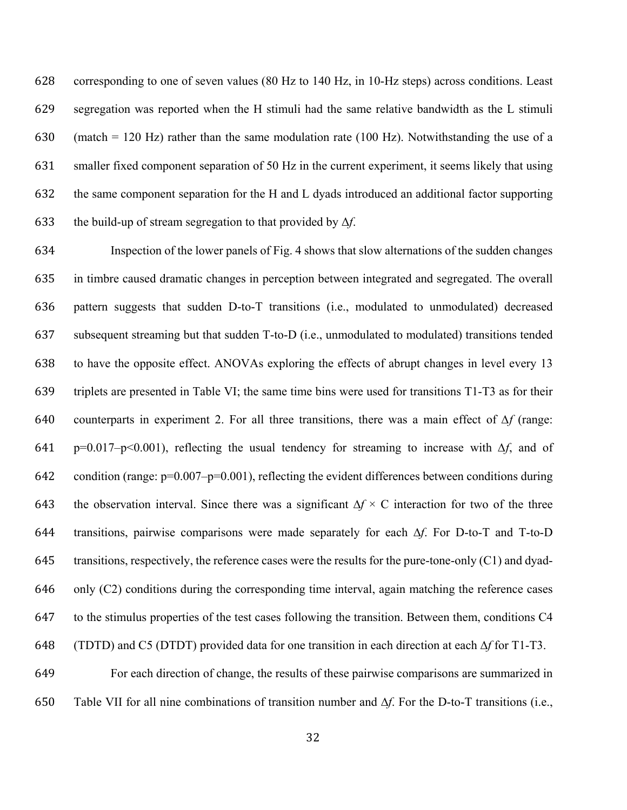corresponding to one of seven values (80 Hz to 140 Hz, in 10-Hz steps) across conditions. Least segregation was reported when the H stimuli had the same relative bandwidth as the L stimuli 630 (match = 120 Hz) rather than the same modulation rate (100 Hz). Notwithstanding the use of a smaller fixed component separation of 50 Hz in the current experiment, it seems likely that using the same component separation for the H and L dyads introduced an additional factor supporting the build-up of stream segregation to that provided by Δ*f*.

 Inspection of the lower panels of Fig. 4 shows that slow alternations of the sudden changes in timbre caused dramatic changes in perception between integrated and segregated. The overall pattern suggests that sudden D-to-T transitions (i.e., modulated to unmodulated) decreased subsequent streaming but that sudden T-to-D (i.e., unmodulated to modulated) transitions tended to have the opposite effect. ANOVAs exploring the effects of abrupt changes in level every 13 triplets are presented in Table VI; the same time bins were used for transitions T1-T3 as for their counterparts in experiment 2. For all three transitions, there was a main effect of *∆f* (range: p=0.017–p<0.001), reflecting the usual tendency for streaming to increase with *∆f*, and of 642 condition (range:  $p=0.007-p=0.001$ ), reflecting the evident differences between conditions during the observation interval. Since there was a significant ∆*f* × C interaction for two of the three transitions, pairwise comparisons were made separately for each ∆*f*. For D-to-T and T-to-D transitions, respectively, the reference cases were the results for the pure-tone-only (C1) and dyad- only (C2) conditions during the corresponding time interval, again matching the reference cases to the stimulus properties of the test cases following the transition. Between them, conditions C4 (TDTD) and C5 (DTDT) provided data for one transition in each direction at each ∆*f* for T1-T3. For each direction of change, the results of these pairwise comparisons are summarized in

Table VII for all nine combinations of transition number and ∆*f*. For the D-to-T transitions (i.e.,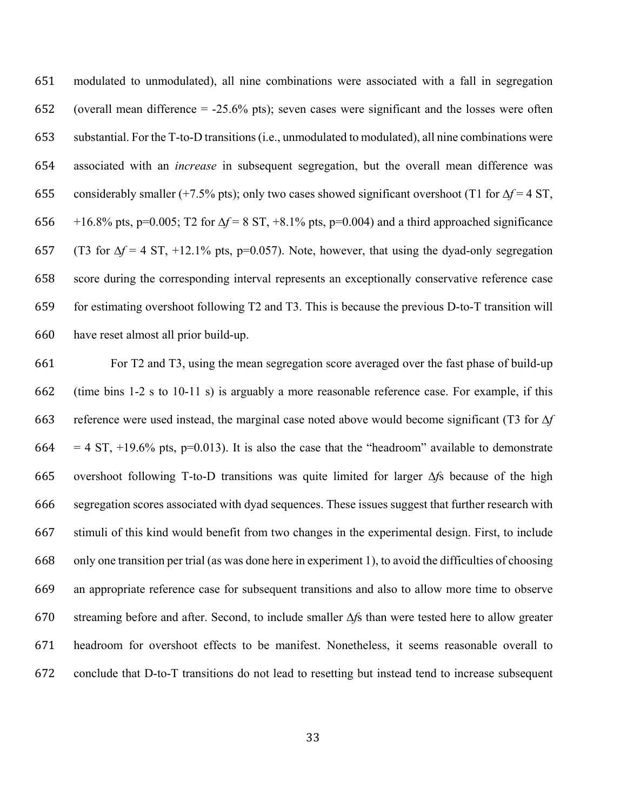modulated to unmodulated), all nine combinations were associated with a fall in segregation (overall mean difference = -25.6% pts); seven cases were significant and the losses were often substantial. For the T-to-D transitions(i.e., unmodulated to modulated), all nine combinations were associated with an *increase* in subsequent segregation, but the overall mean difference was considerably smaller (+7.5% pts); only two cases showed significant overshoot (T1 for ∆*f* = 4 ST, +16.8% pts, p=0.005; T2 for ∆*f* = 8 ST, +8.1% pts, p=0.004) and a third approached significance (T3 for ∆*f* = 4 ST, +12.1% pts, p=0.057). Note, however, that using the dyad-only segregation score during the corresponding interval represents an exceptionally conservative reference case for estimating overshoot following T2 and T3. This is because the previous D-to-T transition will have reset almost all prior build-up.

 For T2 and T3, using the mean segregation score averaged over the fast phase of build-up (time bins 1-2 s to 10-11 s) is arguably a more reasonable reference case. For example, if this reference were used instead, the marginal case noted above would become significant (T3 for ∆*f* 664 = 4 ST,  $+19.6\%$  pts, p=0.013). It is also the case that the "headroom" available to demonstrate overshoot following T-to-D transitions was quite limited for larger ∆*f*s because of the high segregation scores associated with dyad sequences. These issues suggest that further research with stimuli of this kind would benefit from two changes in the experimental design. First, to include only one transition per trial (as was done here in experiment 1), to avoid the difficulties of choosing an appropriate reference case for subsequent transitions and also to allow more time to observe streaming before and after. Second, to include smaller ∆*f*s than were tested here to allow greater headroom for overshoot effects to be manifest. Nonetheless, it seems reasonable overall to conclude that D-to-T transitions do not lead to resetting but instead tend to increase subsequent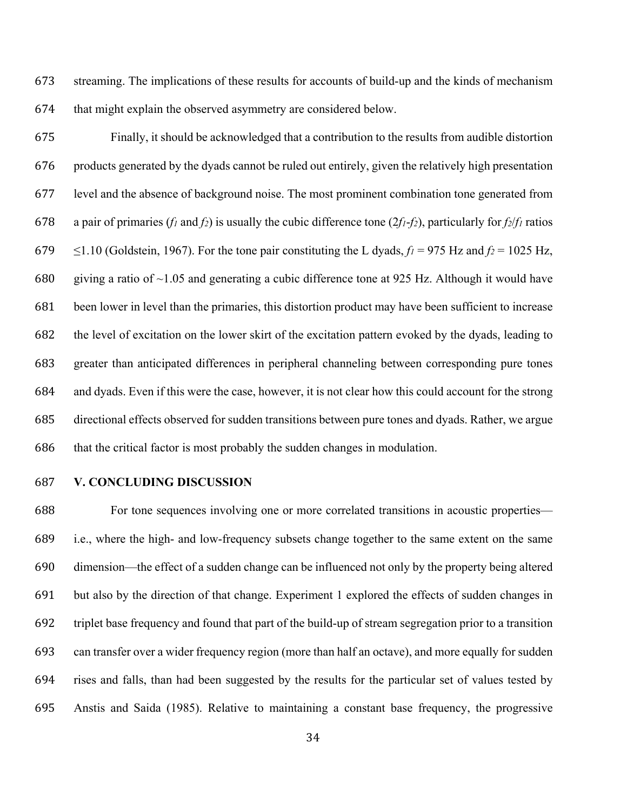streaming. The implications of these results for accounts of build-up and the kinds of mechanism that might explain the observed asymmetry are considered below.

 Finally, it should be acknowledged that a contribution to the results from audible distortion products generated by the dyads cannot be ruled out entirely, given the relatively high presentation level and the absence of background noise. The most prominent combination tone generated from 678 a pair of primaries (*f<sub>1</sub>* and *f<sub>2</sub>*) is usually the cubic difference tone ( $2f_1$ -*f<sub>2</sub>*), particularly for *f<sub>2</sub>*/*f<sub>1</sub>* ratios  $\leq$ 1.10 (Goldstein, 1967). For the tone pair constituting the L dyads,  $f_1 = 975$  Hz and  $f_2 = 1025$  Hz, 680 giving a ratio of  $\sim$ 1.05 and generating a cubic difference tone at 925 Hz. Although it would have been lower in level than the primaries, this distortion product may have been sufficient to increase the level of excitation on the lower skirt of the excitation pattern evoked by the dyads, leading to greater than anticipated differences in peripheral channeling between corresponding pure tones and dyads. Even if this were the case, however, it is not clear how this could account for the strong directional effects observed for sudden transitions between pure tones and dyads. Rather, we argue that the critical factor is most probably the sudden changes in modulation.

# **V. CONCLUDING DISCUSSION**

 For tone sequences involving one or more correlated transitions in acoustic properties— i.e., where the high- and low-frequency subsets change together to the same extent on the same dimension—the effect of a sudden change can be influenced not only by the property being altered but also by the direction of that change. Experiment 1 explored the effects of sudden changes in triplet base frequency and found that part of the build-up of stream segregation prior to a transition can transfer over a wider frequency region (more than half an octave), and more equally for sudden rises and falls, than had been suggested by the results for the particular set of values tested by Anstis and Saida (1985). Relative to maintaining a constant base frequency, the progressive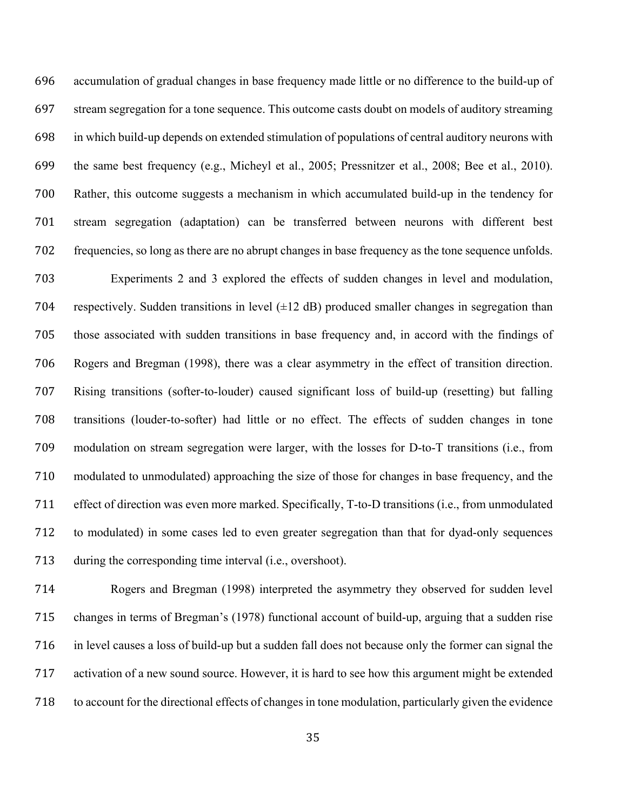accumulation of gradual changes in base frequency made little or no difference to the build-up of stream segregation for a tone sequence. This outcome casts doubt on models of auditory streaming in which build-up depends on extended stimulation of populations of central auditory neurons with the same best frequency (e.g., Micheyl et al., 2005; Pressnitzer et al., 2008; Bee et al., 2010). Rather, this outcome suggests a mechanism in which accumulated build-up in the tendency for stream segregation (adaptation) can be transferred between neurons with different best frequencies, so long as there are no abrupt changes in base frequency as the tone sequence unfolds. Experiments 2 and 3 explored the effects of sudden changes in level and modulation, 704 respectively. Sudden transitions in level  $(\pm 12 \text{ dB})$  produced smaller changes in segregation than those associated with sudden transitions in base frequency and, in accord with the findings of Rogers and Bregman (1998), there was a clear asymmetry in the effect of transition direction. Rising transitions (softer-to-louder) caused significant loss of build-up (resetting) but falling transitions (louder-to-softer) had little or no effect. The effects of sudden changes in tone modulation on stream segregation were larger, with the losses for D-to-T transitions (i.e., from modulated to unmodulated) approaching the size of those for changes in base frequency, and the effect of direction was even more marked. Specifically, T-to-D transitions (i.e., from unmodulated to modulated) in some cases led to even greater segregation than that for dyad-only sequences during the corresponding time interval (i.e., overshoot).

 Rogers and Bregman (1998) interpreted the asymmetry they observed for sudden level changes in terms of Bregman's (1978) functional account of build-up, arguing that a sudden rise in level causes a loss of build-up but a sudden fall does not because only the former can signal the activation of a new sound source. However, it is hard to see how this argument might be extended to account for the directional effects of changes in tone modulation, particularly given the evidence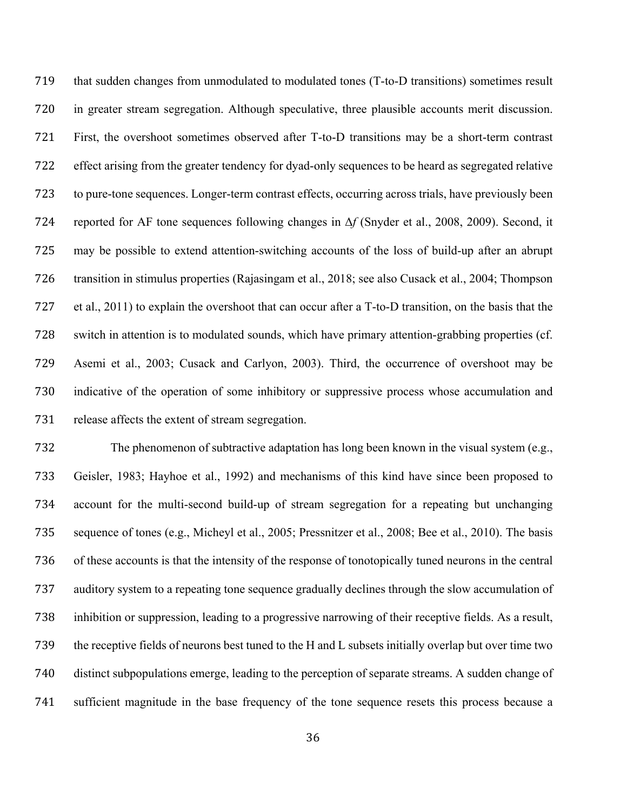that sudden changes from unmodulated to modulated tones (T-to-D transitions) sometimes result in greater stream segregation. Although speculative, three plausible accounts merit discussion. First, the overshoot sometimes observed after T-to-D transitions may be a short-term contrast effect arising from the greater tendency for dyad-only sequences to be heard as segregated relative to pure-tone sequences. Longer-term contrast effects, occurring across trials, have previously been reported for AF tone sequences following changes in Δ*f* (Snyder et al., 2008, 2009). Second, it may be possible to extend attention-switching accounts of the loss of build-up after an abrupt transition in stimulus properties (Rajasingam et al., 2018; see also Cusack et al., 2004; Thompson et al., 2011) to explain the overshoot that can occur after a T-to-D transition, on the basis that the switch in attention is to modulated sounds, which have primary attention-grabbing properties (cf. Asemi et al., 2003; Cusack and Carlyon, 2003). Third, the occurrence of overshoot may be indicative of the operation of some inhibitory or suppressive process whose accumulation and release affects the extent of stream segregation.

 The phenomenon of subtractive adaptation has long been known in the visual system (e.g., Geisler, 1983; Hayhoe et al., 1992) and mechanisms of this kind have since been proposed to account for the multi-second build-up of stream segregation for a repeating but unchanging sequence of tones (e.g., Micheyl et al., 2005; Pressnitzer et al., 2008; Bee et al., 2010). The basis of these accounts is that the intensity of the response of tonotopically tuned neurons in the central auditory system to a repeating tone sequence gradually declines through the slow accumulation of inhibition or suppression, leading to a progressive narrowing of their receptive fields. As a result, the receptive fields of neurons best tuned to the H and L subsets initially overlap but over time two distinct subpopulations emerge, leading to the perception of separate streams. A sudden change of sufficient magnitude in the base frequency of the tone sequence resets this process because a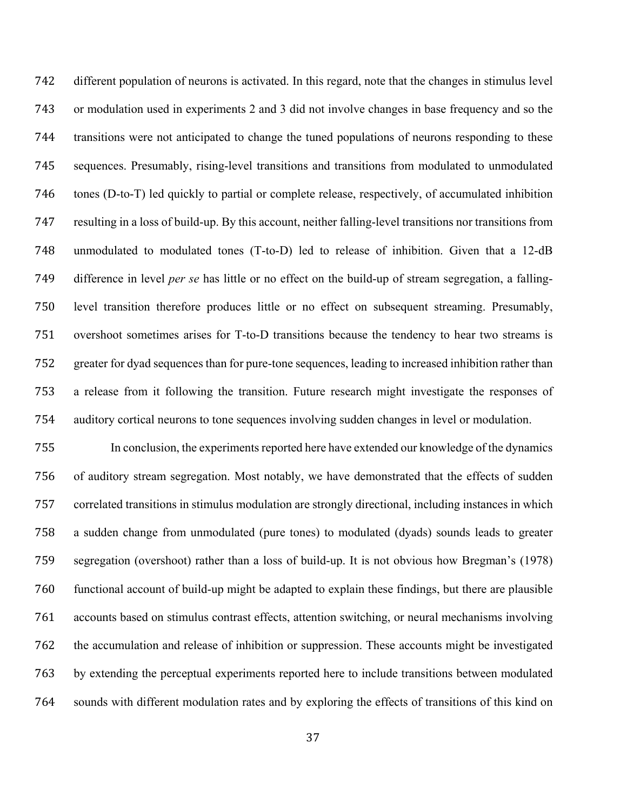different population of neurons is activated. In this regard, note that the changes in stimulus level or modulation used in experiments 2 and 3 did not involve changes in base frequency and so the transitions were not anticipated to change the tuned populations of neurons responding to these sequences. Presumably, rising-level transitions and transitions from modulated to unmodulated tones (D-to-T) led quickly to partial or complete release, respectively, of accumulated inhibition resulting in a loss of build-up. By this account, neither falling-level transitions nor transitions from unmodulated to modulated tones (T-to-D) led to release of inhibition. Given that a 12-dB difference in level *per se* has little or no effect on the build-up of stream segregation, a falling- level transition therefore produces little or no effect on subsequent streaming. Presumably, overshoot sometimes arises for T-to-D transitions because the tendency to hear two streams is greater for dyad sequences than for pure-tone sequences, leading to increased inhibition rather than a release from it following the transition. Future research might investigate the responses of auditory cortical neurons to tone sequences involving sudden changes in level or modulation.

 In conclusion, the experiments reported here have extended our knowledge of the dynamics of auditory stream segregation. Most notably, we have demonstrated that the effects of sudden correlated transitions in stimulus modulation are strongly directional, including instances in which a sudden change from unmodulated (pure tones) to modulated (dyads) sounds leads to greater segregation (overshoot) rather than a loss of build-up. It is not obvious how Bregman's (1978) functional account of build-up might be adapted to explain these findings, but there are plausible accounts based on stimulus contrast effects, attention switching, or neural mechanisms involving the accumulation and release of inhibition or suppression. These accounts might be investigated by extending the perceptual experiments reported here to include transitions between modulated sounds with different modulation rates and by exploring the effects of transitions of this kind on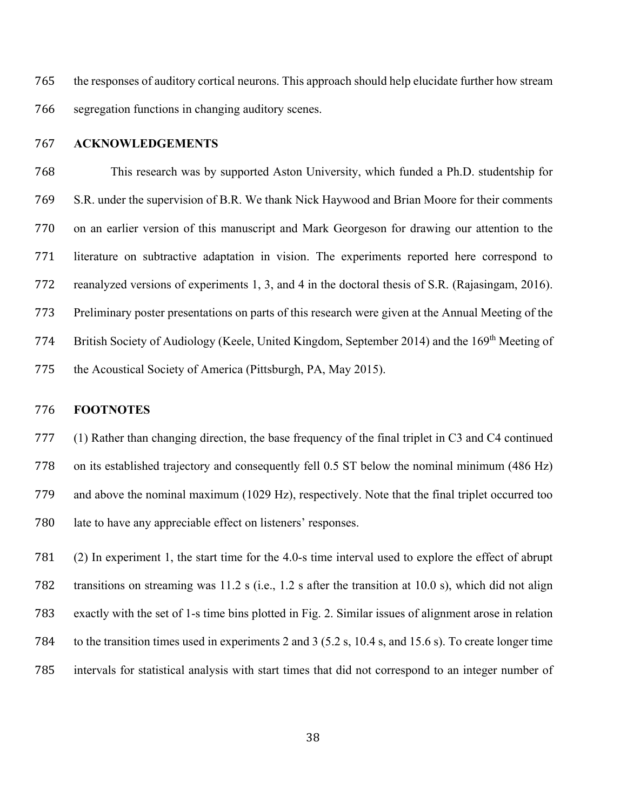the responses of auditory cortical neurons. This approach should help elucidate further how stream segregation functions in changing auditory scenes.

#### **ACKNOWLEDGEMENTS**

 This research was by supported Aston University, which funded a Ph.D. studentship for S.R. under the supervision of B.R. We thank Nick Haywood and Brian Moore for their comments on an earlier version of this manuscript and Mark Georgeson for drawing our attention to the literature on subtractive adaptation in vision. The experiments reported here correspond to reanalyzed versions of experiments 1, 3, and 4 in the doctoral thesis of S.R. (Rajasingam, 2016). Preliminary poster presentations on parts of this research were given at the Annual Meeting of the 774 British Society of Audiology (Keele, United Kingdom, September 2014) and the 169<sup>th</sup> Meeting of the Acoustical Society of America (Pittsburgh, PA, May 2015).

# **FOOTNOTES**

 (1) Rather than changing direction, the base frequency of the final triplet in C3 and C4 continued on its established trajectory and consequently fell 0.5 ST below the nominal minimum (486 Hz) and above the nominal maximum (1029 Hz), respectively. Note that the final triplet occurred too late to have any appreciable effect on listeners' responses.

 (2) In experiment 1, the start time for the 4.0-s time interval used to explore the effect of abrupt transitions on streaming was 11.2 s (i.e., 1.2 s after the transition at 10.0 s), which did not align exactly with the set of 1-s time bins plotted in Fig. 2. Similar issues of alignment arose in relation to the transition times used in experiments 2 and 3 (5.2 s, 10.4 s, and 15.6 s). To create longer time intervals for statistical analysis with start times that did not correspond to an integer number of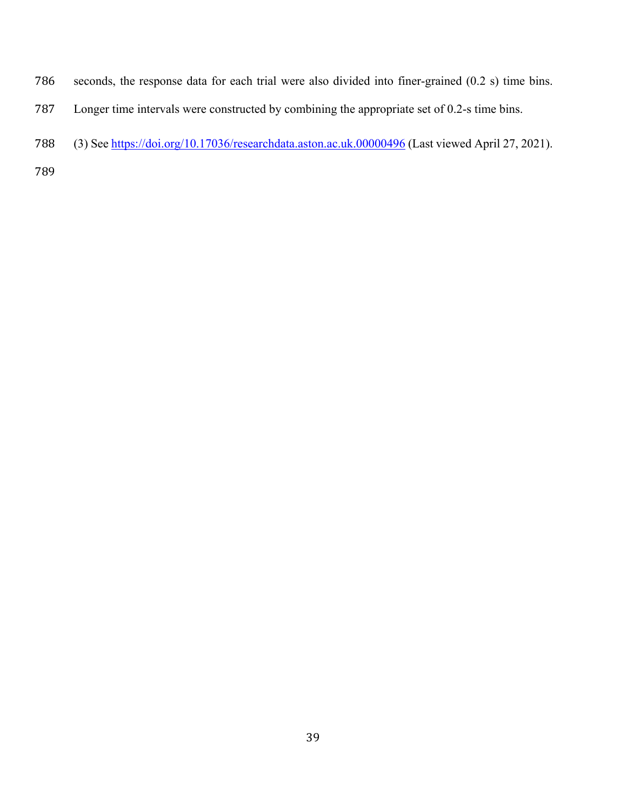- seconds, the response data for each trial were also divided into finer-grained (0.2 s) time bins.
- Longer time intervals were constructed by combining the appropriate set of 0.2-s time bins.
- 788 (3) Se[e https://doi.org/10.17036/researchdata.aston.ac.uk.00000496](https://doi.org/10.17036/researchdata.aston.ac.uk.00000496) (Last viewed April 27, 2021).
-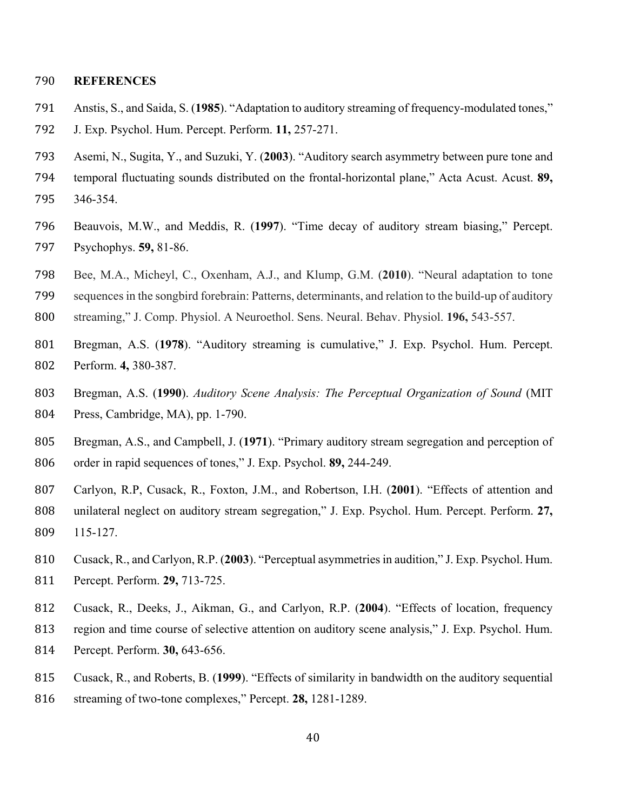# **REFERENCES**

- Anstis, S., and Saida, S. (**1985**). "Adaptation to auditory streaming of frequency-modulated tones,"
- J. Exp. Psychol. Hum. Percept. Perform. **11,** 257-271.
- Asemi, N., Sugita, Y., and Suzuki, Y. (**2003**). "Auditory search asymmetry between pure tone and
- temporal fluctuating sounds distributed on the frontal-horizontal plane," Acta Acust. Acust. **89,**
- 346-354.
- Beauvois, M.W., and Meddis, R. (**1997**). "Time decay of auditory stream biasing," Percept. Psychophys. **59,** 81-86.
- Bee, M.A., Micheyl, C., Oxenham, A.J., and Klump, G.M. (**2010**). "Neural adaptation to tone

sequences in the songbird forebrain: Patterns, determinants, and relation to the build-up of auditory

- streaming," J. Comp. Physiol. A Neuroethol. Sens. Neural. Behav. Physiol. **196,** 543-557.
- Bregman, A.S. (**1978**). "Auditory streaming is cumulative," J. Exp. Psychol. Hum. Percept. Perform. **4,** 380-387.
- Bregman, A.S. (**1990**). *Auditory Scene Analysis: The Perceptual Organization of Sound* (MIT Press, Cambridge, MA), pp. 1-790.
- Bregman, A.S., and Campbell, J. (**1971**). "Primary auditory stream segregation and perception of order in rapid sequences of tones," J. Exp. Psychol. **89,** 244-249.
- Carlyon, R.P, Cusack, R., Foxton, J.M., and Robertson, I.H. (**2001**). "Effects of attention and unilateral neglect on auditory stream segregation," J. Exp. Psychol. Hum. Percept. Perform. **27,** 115-127.
- Cusack, R., and Carlyon, R.P. (**2003**). "Perceptual asymmetries in audition," J. Exp. Psychol. Hum. Percept. Perform. **29,** 713-725.
- Cusack, R., Deeks, J., Aikman, G., and Carlyon, R.P. (**2004**). "Effects of location, frequency
- region and time course of selective attention on auditory scene analysis," J. Exp. Psychol. Hum.
- Percept. Perform. **30,** 643-656.
- Cusack, R., and Roberts, B. (**1999**). "Effects of similarity in bandwidth on the auditory sequential
- streaming of two-tone complexes," Percept. **28,** 1281-1289.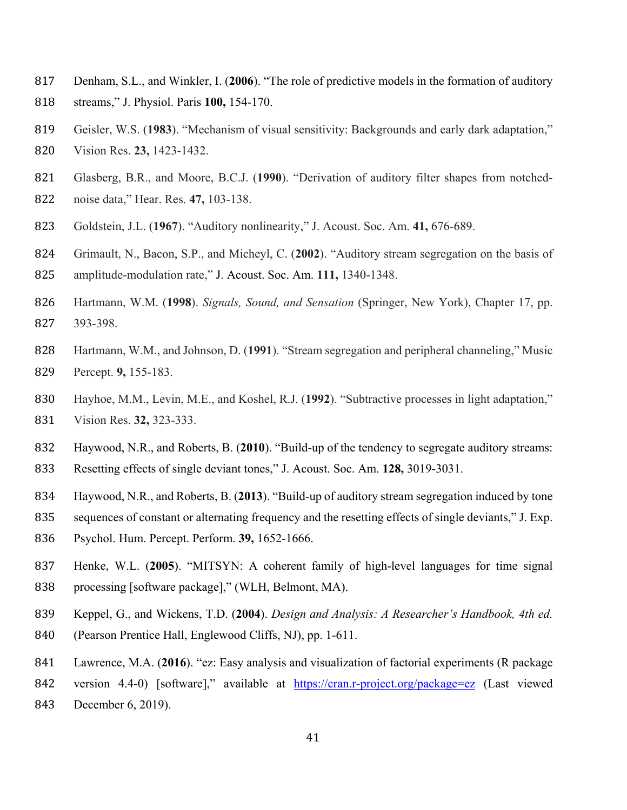- Denham, S.L., and Winkler, I. (**2006**). "The role of predictive models in the formation of auditory
- streams," J. Physiol. Paris **100,** 154-170.
- Geisler, W.S. (**1983**). "Mechanism of visual sensitivity: Backgrounds and early dark adaptation,"
- Vision Res. **23,** 1423-1432.
- Glasberg, B.R., and Moore, B.C.J. (**1990**). "Derivation of auditory filter shapes from notched-noise data," Hear. Res. **47,** 103-138.
- Goldstein, J.L. (**1967**). "Auditory nonlinearity," J. Acoust. Soc. Am. **41,** 676-689.
- Grimault, N., Bacon, S.P., and Micheyl, C. (**2002**). "Auditory stream segregation on the basis of amplitude-modulation rate," J. Acoust. Soc. Am. **111,** 1340-1348.
- Hartmann, W.M. (**1998**). *Signals, Sound, and Sensation* (Springer, New York), Chapter 17, pp. 393-398.
- Hartmann, W.M., and Johnson, D. (**1991**). "Stream segregation and peripheral channeling," Music Percept. **9,** 155-183.
- Hayhoe, M.M., Levin, M.E., and Koshel, R.J. (**1992**). "Subtractive processes in light adaptation," Vision Res. **32,** 323-333.
- Haywood, N.R., and Roberts, B. (**2010**). "Build-up of the tendency to segregate auditory streams:
- Resetting effects of single deviant tones," J. Acoust. Soc. Am. **128,** 3019-3031.
- Haywood, N.R., and Roberts, B. (**2013**). "Build-up of auditory stream segregation induced by tone
- sequences of constant or alternating frequency and the resetting effects of single deviants," J. Exp.
- Psychol. Hum. Percept. Perform. **39,** 1652-1666.
- Henke, W.L. (**2005**). "MITSYN: A coherent family of high-level languages for time signal 838 processing [software package]," (WLH, Belmont, MA).
- Keppel, G., and Wickens, T.D. (**2004**). *Design and Analysis: A Researcher's Handbook, 4th ed.*
- (Pearson Prentice Hall, Englewood Cliffs, NJ), pp. 1-611.
- Lawrence, M.A. (**2016**). "ez: Easy analysis and visualization of factorial experiments (R package
- 842 version 4.4-0) [software]," available at <https://cran.r-project.org/package=ez> (Last viewed
- December 6, 2019).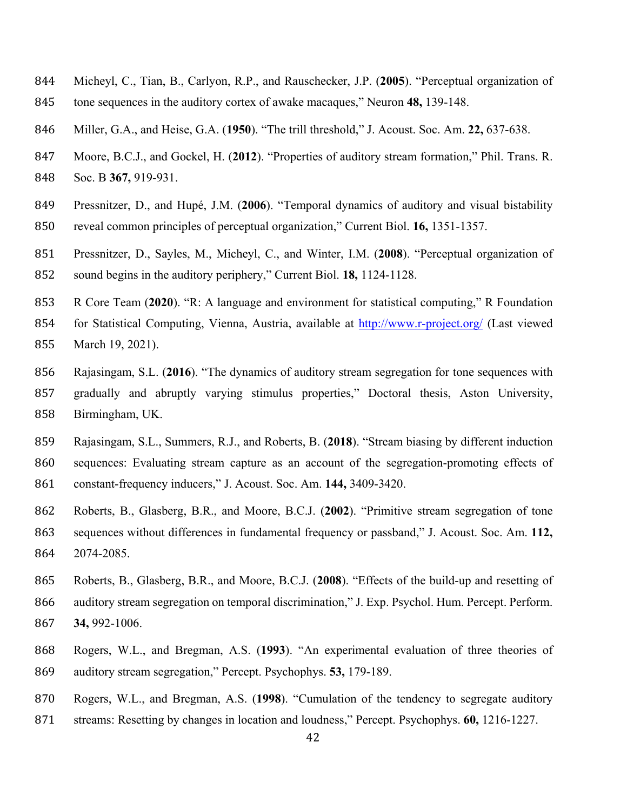- Micheyl, C., Tian, B., Carlyon, R.P., and Rauschecker, J.P. (**2005**). "Perceptual organization of
- tone sequences in the auditory cortex of awake macaques," Neuron **48,** 139-148.
- Miller, G.A., and Heise, G.A. (**1950**). "The trill threshold," J. Acoust. Soc. Am. **22,** 637-638.
- Moore, B.C.J., and Gockel, H. (**2012**). "Properties of auditory stream formation," Phil. Trans. R.

Soc. B **367,** 919-931.

- Pressnitzer, D., and Hupé, J.M. (**2006**). "Temporal dynamics of auditory and visual bistability
- reveal common principles of perceptual organization," Current Biol. **16,** 1351-1357.
- Pressnitzer, D., Sayles, M., Micheyl, C., and Winter, I.M. (**2008**). "Perceptual organization of sound begins in the auditory periphery," Current Biol. **18,** 1124-1128.
- R Core Team (**2020**). "R: A language and environment for statistical computing," R Foundation
- for Statistical Computing, Vienna, Austria, available at<http://www.r-project.org/> (Last viewed March 19, 2021).
- Rajasingam, S.L. (**2016**). "The dynamics of auditory stream segregation for tone sequences with gradually and abruptly varying stimulus properties," Doctoral thesis, Aston University, Birmingham, UK.
- Rajasingam, S.L., Summers, R.J., and Roberts, B. (**2018**). "Stream biasing by different induction sequences: Evaluating stream capture as an account of the segregation-promoting effects of constant-frequency inducers," J. Acoust. Soc. Am. **144,** 3409-3420.
- Roberts, B., Glasberg, B.R., and Moore, B.C.J. (**2002**). "Primitive stream segregation of tone sequences without differences in fundamental frequency or passband," J. Acoust. Soc. Am. **112,** 2074-2085.
- Roberts, B., Glasberg, B.R., and Moore, B.C.J. (**2008**). "Effects of the build-up and resetting of auditory stream segregation on temporal discrimination," J. Exp. Psychol. Hum. Percept. Perform. **34,** 992-1006.
- Rogers, W.L., and Bregman, A.S. (**1993**). "An experimental evaluation of three theories of auditory stream segregation," Percept. Psychophys. **53,** 179-189.
- Rogers, W.L., and Bregman, A.S. (**1998**). "Cumulation of the tendency to segregate auditory
- streams: Resetting by changes in location and loudness," Percept. Psychophys. **60,** 1216-1227.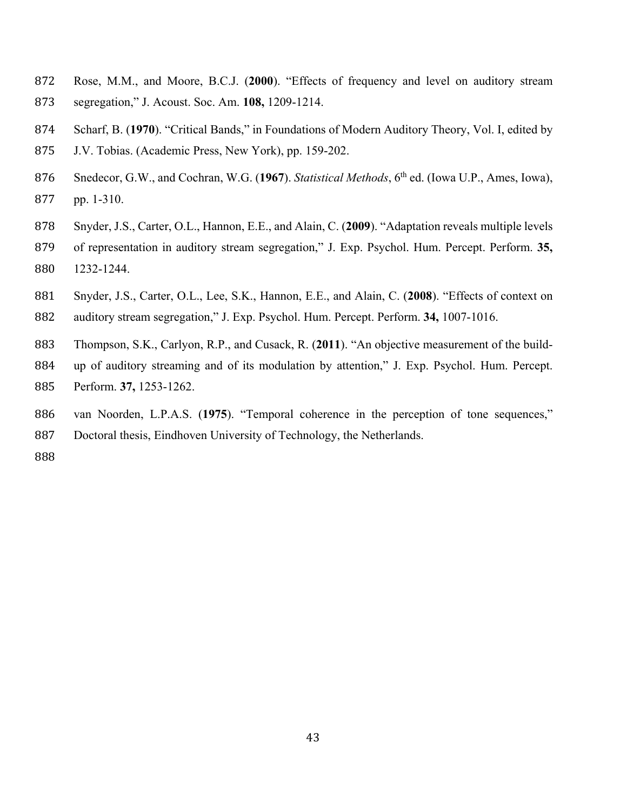- Rose, M.M., and Moore, B.C.J. (**2000**). "Effects of frequency and level on auditory stream segregation," J. Acoust. Soc. Am. **108,** 1209-1214.
- Scharf, B. (**1970**). "Critical Bands," in Foundations of Modern Auditory Theory, Vol. I, edited by
- J.V. Tobias. (Academic Press, New York), pp. 159-202.
- Snedecor, G.W., and Cochran, W.G. (**1967**). *Statistical Methods*, 6th ed. (Iowa U.P., Ames, Iowa), pp. 1-310.
- Snyder, J.S., Carter, O.L., Hannon, E.E., and Alain, C. (**2009**). "Adaptation reveals multiple levels
- of representation in auditory stream segregation," J. Exp. Psychol. Hum. Percept. Perform. **35,** 1232-1244.
- Snyder, J.S., Carter, O.L., Lee, S.K., Hannon, E.E., and Alain, C. (**2008**). "Effects of context on
- auditory stream segregation," J. Exp. Psychol. Hum. Percept. Perform. **34,** 1007-1016.
- Thompson, S.K., Carlyon, R.P., and Cusack, R. (**2011**). "An objective measurement of the build-
- up of auditory streaming and of its modulation by attention," J. Exp. Psychol. Hum. Percept. Perform. **37,** 1253-1262.
- van Noorden, L.P.A.S. (**1975**). "Temporal coherence in the perception of tone sequences,"
- Doctoral thesis, Eindhoven University of Technology, the Netherlands.
-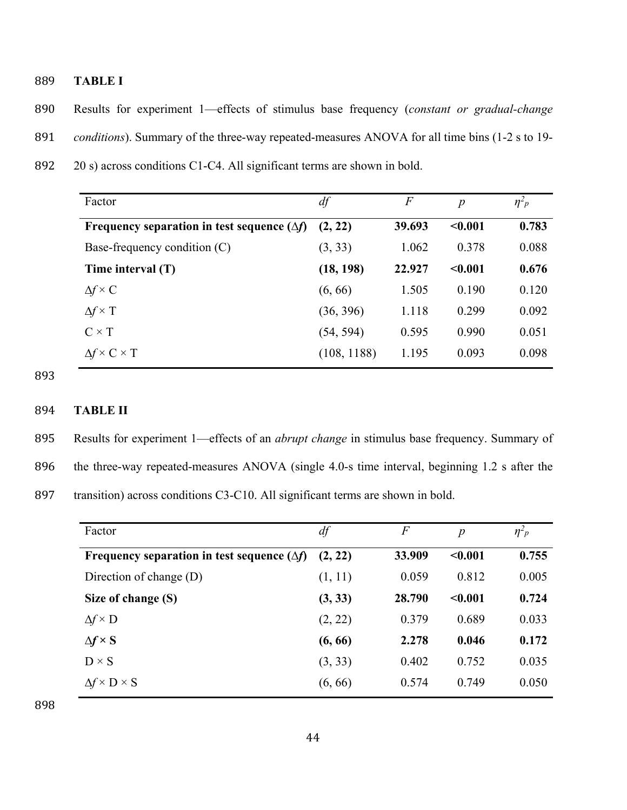889 **TABLE I**

890 Results for experiment 1—effects of stimulus base frequency (*constant or gradual-change*  891 *conditions*). Summary of the three-way repeated-measures ANOVA for all time bins (1-2 s to 19-

892 20 s) across conditions C1-C4. All significant terms are shown in bold.

| Factor                                             | df          | $\,F$  | $\boldsymbol{p}$ | $\eta^2 p$ |
|----------------------------------------------------|-------------|--------|------------------|------------|
| Frequency separation in test sequence $(\Delta f)$ | (2, 22)     | 39.693 | $0.001$          | 0.783      |
| Base-frequency condition $(C)$                     | (3, 33)     | 1.062  | 0.378            | 0.088      |
| Time interval (T)                                  | (18, 198)   | 22.927 | < 0.001          | 0.676      |
| $\Delta f \times C$                                | (6, 66)     | 1.505  | 0.190            | 0.120      |
| $\Delta f \times T$                                | (36, 396)   | 1.118  | 0.299            | 0.092      |
| $C \times T$                                       | (54, 594)   | 0.595  | 0.990            | 0.051      |
| $\Delta f \times C \times T$                       | (108, 1188) | 1.195  | 0.093            | 0.098      |

893

# 894 **TABLE II**

895 Results for experiment 1—effects of an *abrupt change* in stimulus base frequency. Summary of 896 the three-way repeated-measures ANOVA (single 4.0-s time interval, beginning 1.2 s after the 897 transition) across conditions C3-C10. All significant terms are shown in bold.

| Factor                                             | df      | F      | $\boldsymbol{p}$ | $\eta^2$ <sup>2</sup> |
|----------------------------------------------------|---------|--------|------------------|-----------------------|
| Frequency separation in test sequence $(\Delta f)$ | (2, 22) | 33.909 | $0.001$          | 0.755                 |
| Direction of change (D)                            | (1, 11) | 0.059  | 0.812            | 0.005                 |
| Size of change (S)                                 | (3, 33) | 28.790 | < 0.001          | 0.724                 |
| $\Delta f \times D$                                | (2, 22) | 0.379  | 0.689            | 0.033                 |
| $\Delta f \times S$                                | (6, 66) | 2.278  | 0.046            | 0.172                 |
| $D \times S$                                       | (3, 33) | 0.402  | 0.752            | 0.035                 |
| $\Delta f \times D \times S$                       | (6, 66) | 0.574  | 0.749            | 0.050                 |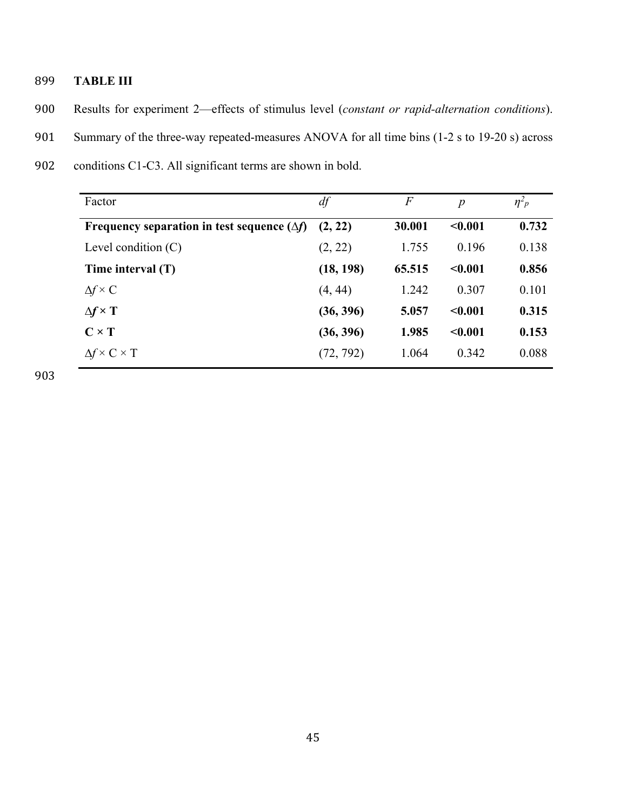# 899 **TABLE III**

- 900 Results for experiment 2—effects of stimulus level (*constant or rapid-alternation conditions*).
- 901 Summary of the three-way repeated-measures ANOVA for all time bins (1-2 s to 19-20 s) across
- 902 conditions C1-C3. All significant terms are shown in bold.

| Factor                                             | df        | $\,F$  | $\boldsymbol{p}$ | $\eta^2 p$ |
|----------------------------------------------------|-----------|--------|------------------|------------|
| Frequency separation in test sequence $(\Delta f)$ | (2, 22)   | 30.001 | < 0.001          | 0.732      |
| Level condition $(C)$                              | (2, 22)   | 1.755  | 0.196            | 0.138      |
| Time interval (T)                                  | (18, 198) | 65.515 | < 0.001          | 0.856      |
| $\Delta f \times C$                                | (4, 44)   | 1.242  | 0.307            | 0.101      |
| $\Delta f \times T$                                | (36, 396) | 5.057  | < 0.001          | 0.315      |
| $C \times T$                                       | (36, 396) | 1.985  | < 0.001          | 0.153      |
| $\Delta f \times C \times T$                       | (72, 792) | 1.064  | 0.342            | 0.088      |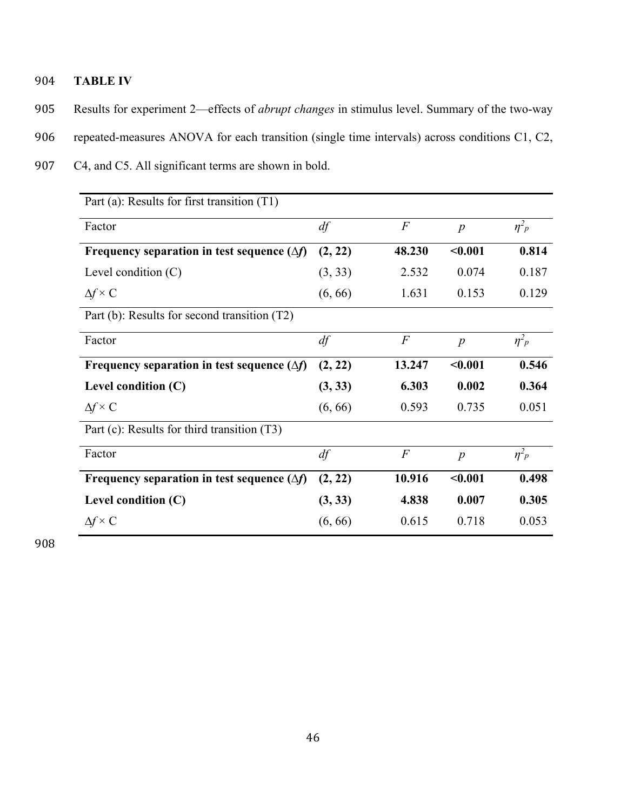- 904 **TABLE IV**
- 905 Results for experiment 2—effects of *abrupt changes* in stimulus level. Summary of the two-way
- 906 repeated-measures ANOVA for each transition (single time intervals) across conditions C1, C2,
- 907 C4, and C5. All significant terms are shown in bold.

| Part (a): Results for first transition (T1)        |         |                |                  |                       |  |  |
|----------------------------------------------------|---------|----------------|------------------|-----------------------|--|--|
| Factor                                             | df      | $\overline{F}$ | $\boldsymbol{p}$ | $\eta^2 p$            |  |  |
| Frequency separation in test sequence $(\Delta f)$ | (2, 22) | 48.230         | < 0.001          | 0.814                 |  |  |
| Level condition $(C)$                              | (3, 33) | 2.532          | 0.074            | 0.187                 |  |  |
| $\Delta f \times C$                                | (6, 66) | 1.631          | 0.153            | 0.129                 |  |  |
| Part (b): Results for second transition (T2)       |         |                |                  |                       |  |  |
| Factor                                             | df      | $\overline{F}$ | $\boldsymbol{p}$ | $\eta^2$ <sub>p</sub> |  |  |
| Frequency separation in test sequence $(\Delta f)$ | (2, 22) | 13.247         | $0.001$          | 0.546                 |  |  |
| Level condition $(C)$                              | (3, 33) | 6.303          | 0.002            | 0.364                 |  |  |
| $\Delta f \times C$                                | (6, 66) | 0.593          | 0.735            | 0.051                 |  |  |
| Part (c): Results for third transition (T3)        |         |                |                  |                       |  |  |
| Factor                                             | df      | $\overline{F}$ | $\boldsymbol{p}$ | $\eta^2$ <sup>2</sup> |  |  |
| Frequency separation in test sequence $(\Delta f)$ | (2, 22) | 10.916         | < 0.001          | 0.498                 |  |  |
| Level condition $(C)$                              | (3, 33) | 4.838          | 0.007            | 0.305                 |  |  |
| $\Delta f \times C$                                | (6, 66) | 0.615          | 0.718            | 0.053                 |  |  |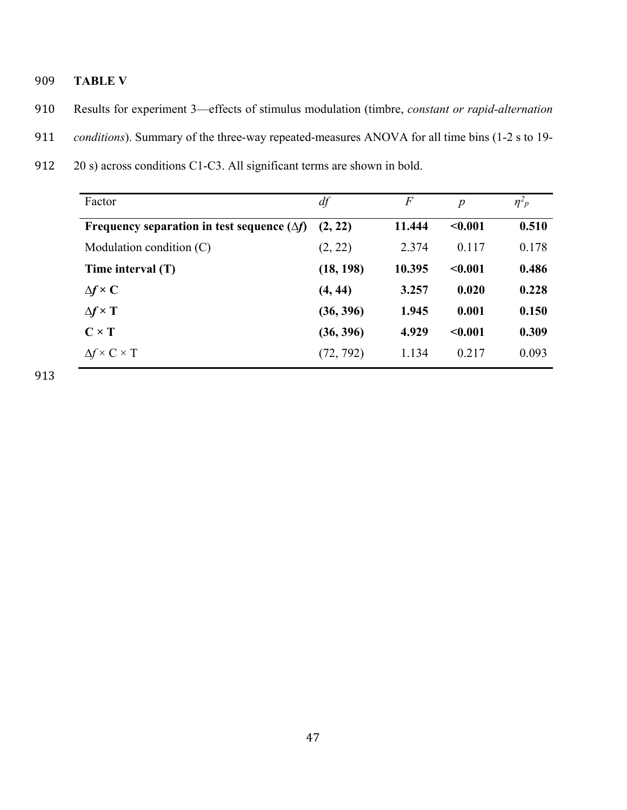- 909 **TABLE V**
- 910 Results for experiment 3—effects of stimulus modulation (timbre, *constant or rapid-alternation*
- 911 *conditions*). Summary of the three-way repeated-measures ANOVA for all time bins (1-2 s to 19-
- 912 20 s) across conditions C1-C3. All significant terms are shown in bold.

| Factor                                             | df        | $\boldsymbol{F}$ | $\boldsymbol{p}$ | $\eta^2 p$ |
|----------------------------------------------------|-----------|------------------|------------------|------------|
| Frequency separation in test sequence $(\Delta f)$ | (2, 22)   | 11.444           | < 0.001          | 0.510      |
| Modulation condition $(C)$                         | (2, 22)   | 2.374            | 0.117            | 0.178      |
| Time interval $(T)$                                | (18, 198) | 10.395           | < 0.001          | 0.486      |
| $\Delta f \times C$                                | (4, 44)   | 3.257            | 0.020            | 0.228      |
| $\Delta f \times T$                                | (36, 396) | 1.945            | 0.001            | 0.150      |
| $C \times T$                                       | (36, 396) | 4.929            | < 0.001          | 0.309      |
| $\Delta f \times C \times T$                       | (72, 792) | 1.134            | 0.217            | 0.093      |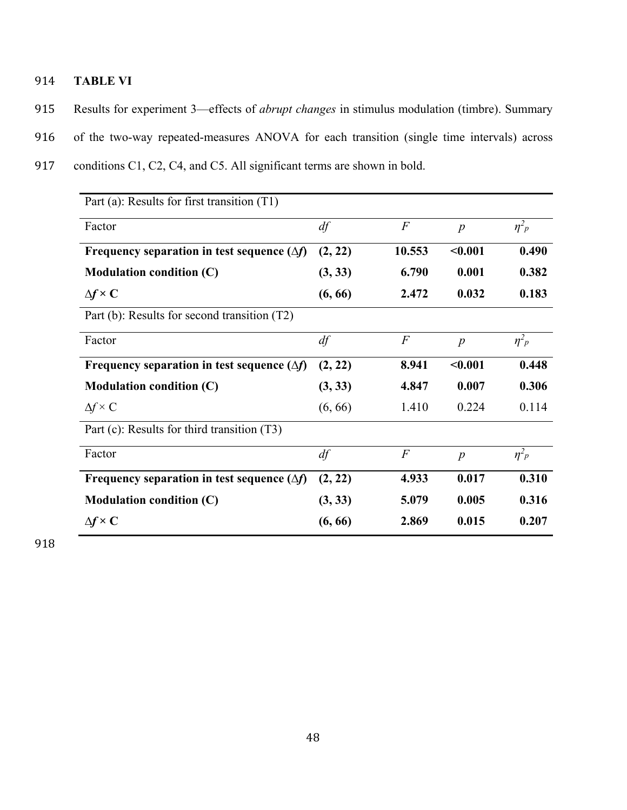- 914 **TABLE VI**
- 915 Results for experiment 3—effects of *abrupt changes* in stimulus modulation (timbre). Summary
- 916 of the two-way repeated-measures ANOVA for each transition (single time intervals) across
- 917 conditions C1, C2, C4, and C5. All significant terms are shown in bold.

| Part (a): Results for first transition (T1)        |         |                |                  |                       |  |
|----------------------------------------------------|---------|----------------|------------------|-----------------------|--|
| Factor                                             | df      | $\overline{F}$ | $\boldsymbol{p}$ | $\eta^2$ <sup>2</sup> |  |
| Frequency separation in test sequence $(\Delta f)$ | (2, 22) | 10.553         | < 0.001          | 0.490                 |  |
| <b>Modulation condition (C)</b>                    | (3, 33) | 6.790          | 0.001            | 0.382                 |  |
| $\Delta f \times C$                                | (6, 66) | 2.472          | 0.032            | 0.183                 |  |
| Part (b): Results for second transition (T2)       |         |                |                  |                       |  |
| Factor                                             | df      | $\overline{F}$ | $\boldsymbol{p}$ | $\eta^2$ <sub>p</sub> |  |
| Frequency separation in test sequence $(\Delta f)$ | (2, 22) | 8.941          | $0.001$          | 0.448                 |  |
| <b>Modulation condition (C)</b>                    | (3, 33) | 4.847          | 0.007            | 0.306                 |  |
| $\Delta f \times C$                                | (6, 66) | 1.410          | 0.224            | 0.114                 |  |
| Part (c): Results for third transition (T3)        |         |                |                  |                       |  |
| Factor                                             | df      | $\overline{F}$ | $\boldsymbol{p}$ | $\eta^2 p$            |  |
| Frequency separation in test sequence $(\Delta f)$ | (2, 22) | 4.933          | 0.017            | 0.310                 |  |
| <b>Modulation condition (C)</b>                    | (3, 33) | 5.079          | 0.005            | 0.316                 |  |
| $\Delta f \times C$                                | (6, 66) | 2.869          | 0.015            | 0.207                 |  |